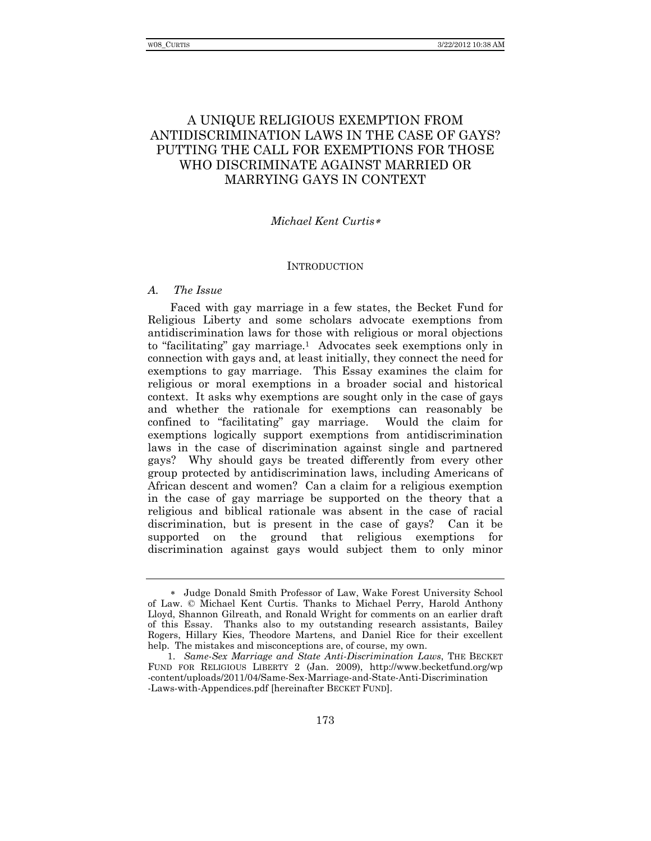# A UNIQUE RELIGIOUS EXEMPTION FROM ANTIDISCRIMINATION LAWS IN THE CASE OF GAYS? PUTTING THE CALL FOR EXEMPTIONS FOR THOSE WHO DISCRIMINATE AGAINST MARRIED OR MARRYING GAYS IN CONTEXT

## *Michael Kent Curtis*

#### INTRODUCTION

#### *A. The Issue*

Faced with gay marriage in a few states, the Becket Fund for Religious Liberty and some scholars advocate exemptions from antidiscrimination laws for those with religious or moral objections to "facilitating" gay marriage.1 Advocates seek exemptions only in connection with gays and, at least initially, they connect the need for exemptions to gay marriage. This Essay examines the claim for religious or moral exemptions in a broader social and historical context. It asks why exemptions are sought only in the case of gays and whether the rationale for exemptions can reasonably be confined to "facilitating" gay marriage. Would the claim for exemptions logically support exemptions from antidiscrimination laws in the case of discrimination against single and partnered gays? Why should gays be treated differently from every other group protected by antidiscrimination laws, including Americans of African descent and women? Can a claim for a religious exemption in the case of gay marriage be supported on the theory that a religious and biblical rationale was absent in the case of racial discrimination, but is present in the case of gays? Can it be supported on the ground that religious exemptions for discrimination against gays would subject them to only minor

Judge Donald Smith Professor of Law, Wake Forest University School of Law. © Michael Kent Curtis. Thanks to Michael Perry, Harold Anthony Lloyd, Shannon Gilreath, and Ronald Wright for comments on an earlier draft of this Essay. Thanks also to my outstanding research assistants, Bailey Rogers, Hillary Kies, Theodore Martens, and Daniel Rice for their excellent help. The mistakes and misconceptions are, of course, my own.

 <sup>1.</sup> *Same-Sex Marriage and State Anti-Discrimination Laws*, THE BECKET FUND FOR RELIGIOUS LIBERTY 2 (Jan. 2009), http://www.becketfund.org/wp -content/uploads/2011/04/Same-Sex-Marriage-and-State-Anti-Discrimination -Laws-with-Appendices.pdf [hereinafter BECKET FUND].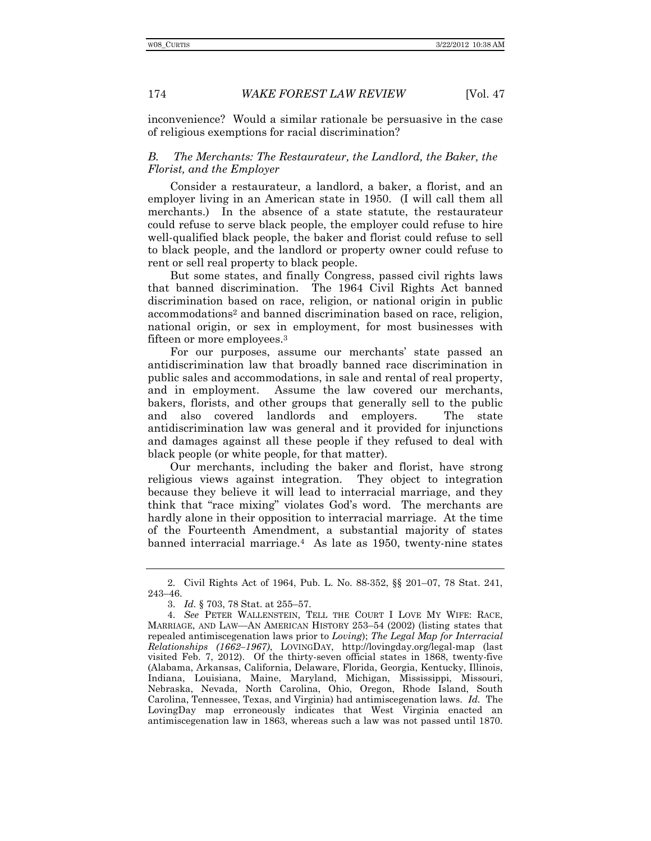inconvenience? Would a similar rationale be persuasive in the case of religious exemptions for racial discrimination?

## *B. The Merchants: The Restaurateur, the Landlord, the Baker, the Florist, and the Employer*

Consider a restaurateur, a landlord, a baker, a florist, and an employer living in an American state in 1950. (I will call them all merchants.) In the absence of a state statute, the restaurateur could refuse to serve black people, the employer could refuse to hire well-qualified black people, the baker and florist could refuse to sell to black people, and the landlord or property owner could refuse to rent or sell real property to black people.

But some states, and finally Congress, passed civil rights laws that banned discrimination. The 1964 Civil Rights Act banned discrimination based on race, religion, or national origin in public accommodations2 and banned discrimination based on race, religion, national origin, or sex in employment, for most businesses with fifteen or more employees.3

For our purposes, assume our merchants' state passed an antidiscrimination law that broadly banned race discrimination in public sales and accommodations, in sale and rental of real property, and in employment. Assume the law covered our merchants, bakers, florists, and other groups that generally sell to the public and also covered landlords and employers. The state antidiscrimination law was general and it provided for injunctions and damages against all these people if they refused to deal with black people (or white people, for that matter).

Our merchants, including the baker and florist, have strong religious views against integration. They object to integration because they believe it will lead to interracial marriage, and they think that "race mixing" violates God's word. The merchants are hardly alone in their opposition to interracial marriage. At the time of the Fourteenth Amendment, a substantial majority of states banned interracial marriage.4 As late as 1950, twenty-nine states

 <sup>2.</sup> Civil Rights Act of 1964, Pub. L. No. 88-352, §§ 201–07, 78 Stat. 241, 243–46.

 <sup>3.</sup> *Id.* § 703, 78 Stat. at 255–57.

 <sup>4.</sup> *See* PETER WALLENSTEIN, TELL THE COURT I LOVE MY WIFE: RACE, MARRIAGE, AND LAW—AN AMERICAN HISTORY 253–54 (2002) (listing states that repealed antimiscegenation laws prior to *Loving*); *The Legal Map for Interracial Relationships (1662–1967)*, LOVINGDAY, http://lovingday.org/legal-map (last visited Feb. 7, 2012). Of the thirty-seven official states in 1868, twenty-five (Alabama, Arkansas, California, Delaware, Florida, Georgia, Kentucky, Illinois, Indiana, Louisiana, Maine, Maryland, Michigan, Mississippi, Missouri, Nebraska, Nevada, North Carolina, Ohio, Oregon, Rhode Island, South Carolina, Tennessee, Texas, and Virginia) had antimiscegenation laws. *Id.* The LovingDay map erroneously indicates that West Virginia enacted an antimiscegenation law in 1863, whereas such a law was not passed until 1870.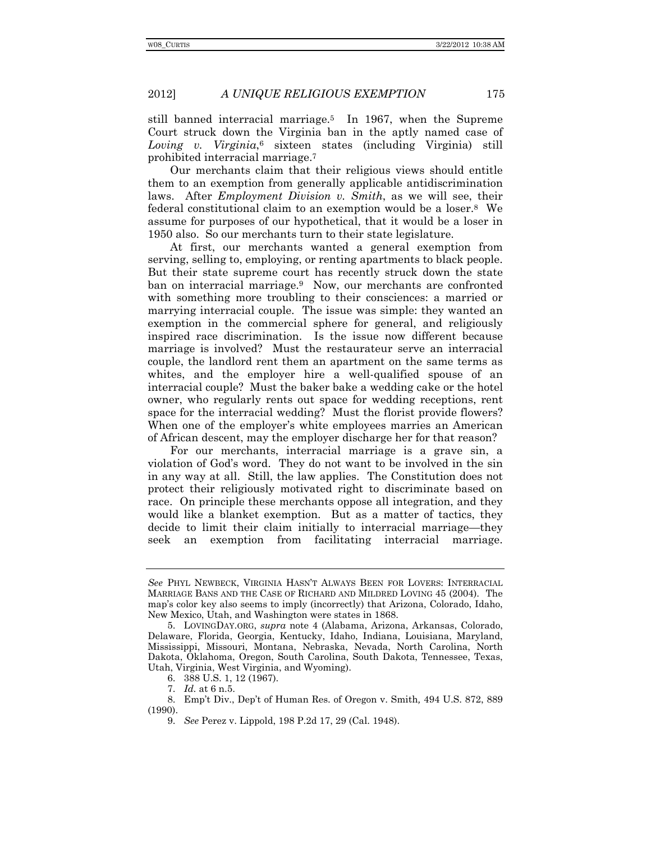still banned interracial marriage.5 In 1967, when the Supreme Court struck down the Virginia ban in the aptly named case of *Loving v. Virginia*,6 sixteen states (including Virginia) still prohibited interracial marriage.7

Our merchants claim that their religious views should entitle them to an exemption from generally applicable antidiscrimination laws. After *Employment Division v. Smith*, as we will see, their federal constitutional claim to an exemption would be a loser.8 We assume for purposes of our hypothetical, that it would be a loser in 1950 also. So our merchants turn to their state legislature.

At first, our merchants wanted a general exemption from serving, selling to, employing, or renting apartments to black people. But their state supreme court has recently struck down the state ban on interracial marriage.9 Now, our merchants are confronted with something more troubling to their consciences: a married or marrying interracial couple. The issue was simple: they wanted an exemption in the commercial sphere for general, and religiously inspired race discrimination. Is the issue now different because marriage is involved? Must the restaurateur serve an interracial couple, the landlord rent them an apartment on the same terms as whites, and the employer hire a well-qualified spouse of an interracial couple? Must the baker bake a wedding cake or the hotel owner, who regularly rents out space for wedding receptions, rent space for the interracial wedding? Must the florist provide flowers? When one of the employer's white employees marries an American of African descent, may the employer discharge her for that reason?

For our merchants, interracial marriage is a grave sin, a violation of God's word. They do not want to be involved in the sin in any way at all. Still, the law applies. The Constitution does not protect their religiously motivated right to discriminate based on race. On principle these merchants oppose all integration, and they would like a blanket exemption. But as a matter of tactics, they decide to limit their claim initially to interracial marriage—they seek an exemption from facilitating interracial marriage.

6. 388 U.S. 1, 12 (1967).

9. *See* Perez v. Lippold, 198 P.2d 17, 29 (Cal. 1948).

*See* PHYL NEWBECK, VIRGINIA HASN'T ALWAYS BEEN FOR LOVERS: INTERRACIAL MARRIAGE BANS AND THE CASE OF RICHARD AND MILDRED LOVING 45 (2004). The map's color key also seems to imply (incorrectly) that Arizona, Colorado, Idaho, New Mexico, Utah, and Washington were states in 1868.

 <sup>5.</sup> LOVINGDAY.ORG, *supra* note 4 (Alabama, Arizona, Arkansas, Colorado, Delaware, Florida, Georgia, Kentucky, Idaho, Indiana, Louisiana, Maryland, Mississippi, Missouri, Montana, Nebraska, Nevada, North Carolina, North Dakota, Oklahoma, Oregon, South Carolina, South Dakota, Tennessee, Texas, Utah, Virginia, West Virginia, and Wyoming).

 <sup>7.</sup> *Id.* at 6 n.5.

 <sup>8.</sup> Emp't Div., Dep't of Human Res. of Oregon v. Smith*,* 494 U.S. 872, 889 (1990).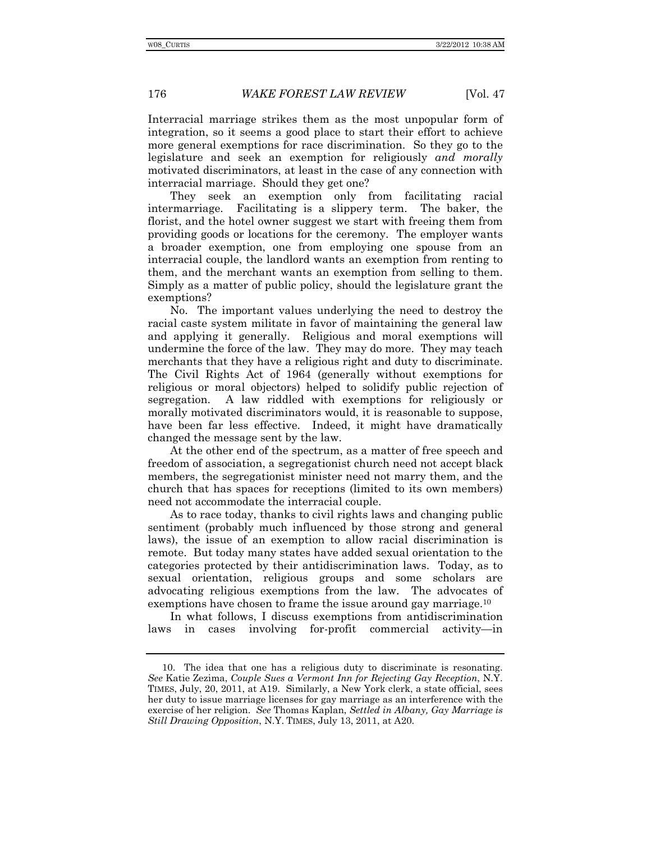Interracial marriage strikes them as the most unpopular form of integration, so it seems a good place to start their effort to achieve more general exemptions for race discrimination. So they go to the legislature and seek an exemption for religiously *and morally* motivated discriminators, at least in the case of any connection with interracial marriage. Should they get one?

They seek an exemption only from facilitating racial intermarriage. Facilitating is a slippery term. The baker, the florist, and the hotel owner suggest we start with freeing them from providing goods or locations for the ceremony. The employer wants a broader exemption, one from employing one spouse from an interracial couple, the landlord wants an exemption from renting to them, and the merchant wants an exemption from selling to them. Simply as a matter of public policy, should the legislature grant the exemptions?

No. The important values underlying the need to destroy the racial caste system militate in favor of maintaining the general law and applying it generally. Religious and moral exemptions will undermine the force of the law. They may do more. They may teach merchants that they have a religious right and duty to discriminate. The Civil Rights Act of 1964 (generally without exemptions for religious or moral objectors) helped to solidify public rejection of segregation. A law riddled with exemptions for religiously or morally motivated discriminators would, it is reasonable to suppose, have been far less effective. Indeed, it might have dramatically changed the message sent by the law.

At the other end of the spectrum, as a matter of free speech and freedom of association, a segregationist church need not accept black members, the segregationist minister need not marry them, and the church that has spaces for receptions (limited to its own members) need not accommodate the interracial couple.

As to race today, thanks to civil rights laws and changing public sentiment (probably much influenced by those strong and general laws), the issue of an exemption to allow racial discrimination is remote. But today many states have added sexual orientation to the categories protected by their antidiscrimination laws. Today, as to sexual orientation, religious groups and some scholars are advocating religious exemptions from the law. The advocates of exemptions have chosen to frame the issue around gay marriage.10

In what follows, I discuss exemptions from antidiscrimination laws in cases involving for-profit commercial activity—in

 <sup>10.</sup> The idea that one has a religious duty to discriminate is resonating. *See* Katie Zezima, *Couple Sues a Vermont Inn for Rejecting Gay Reception*, N.Y. TIMES, July, 20, 2011, at A19. Similarly, a New York clerk, a state official, sees her duty to issue marriage licenses for gay marriage as an interference with the exercise of her religion. *See* Thomas Kaplan, *Settled in Albany, Gay Marriage is Still Drawing Opposition*, N.Y. TIMES, July 13, 2011, at A20.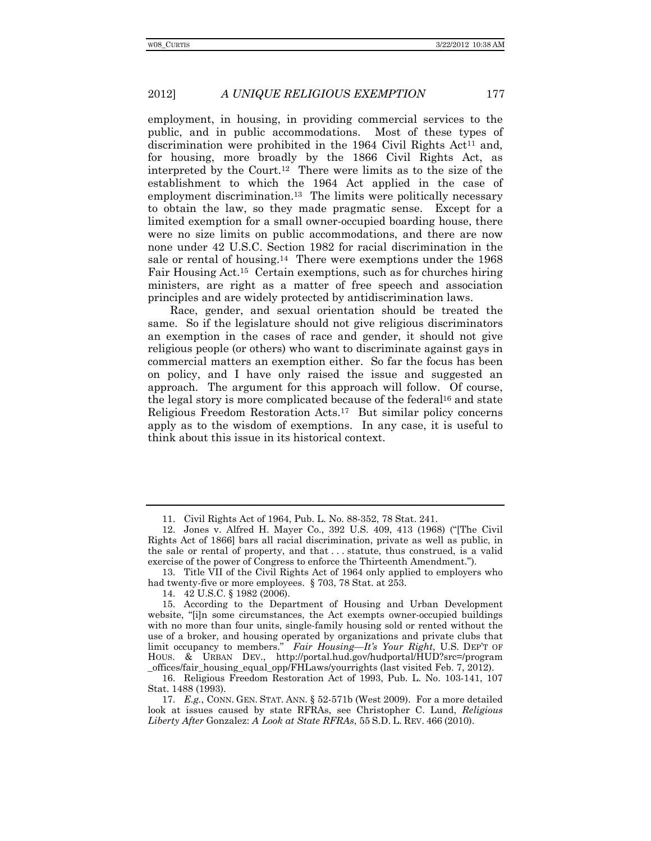employment, in housing, in providing commercial services to the public, and in public accommodations. Most of these types of discrimination were prohibited in the 1964 Civil Rights Act<sup>11</sup> and, for housing, more broadly by the 1866 Civil Rights Act, as interpreted by the Court.12 There were limits as to the size of the establishment to which the 1964 Act applied in the case of employment discrimination.<sup>13</sup> The limits were politically necessary to obtain the law, so they made pragmatic sense. Except for a limited exemption for a small owner-occupied boarding house, there were no size limits on public accommodations, and there are now none under 42 U.S.C. Section 1982 for racial discrimination in the sale or rental of housing.14 There were exemptions under the 1968 Fair Housing Act.15 Certain exemptions, such as for churches hiring ministers, are right as a matter of free speech and association principles and are widely protected by antidiscrimination laws.

Race, gender, and sexual orientation should be treated the same. So if the legislature should not give religious discriminators an exemption in the cases of race and gender, it should not give religious people (or others) who want to discriminate against gays in commercial matters an exemption either. So far the focus has been on policy, and I have only raised the issue and suggested an approach. The argument for this approach will follow. Of course, the legal story is more complicated because of the federal16 and state Religious Freedom Restoration Acts.17 But similar policy concerns apply as to the wisdom of exemptions. In any case, it is useful to think about this issue in its historical context.

 13. Title VII of the Civil Rights Act of 1964 only applied to employers who had twenty-five or more employees. § 703, 78 Stat. at 253.

14. 42 U.S.C. § 1982 (2006).

 <sup>11.</sup> Civil Rights Act of 1964, Pub. L. No. 88-352, 78 Stat. 241.

 <sup>12.</sup> Jones v. Alfred H. Mayer Co., 392 U.S. 409, 413 (1968) ("[The Civil Rights Act of 1866] bars all racial discrimination, private as well as public, in the sale or rental of property, and that . . . statute, thus construed, is a valid exercise of the power of Congress to enforce the Thirteenth Amendment.").

 <sup>15.</sup> According to the Department of Housing and Urban Development website, "[i]n some circumstances, the Act exempts owner-occupied buildings with no more than four units, single-family housing sold or rented without the use of a broker, and housing operated by organizations and private clubs that limit occupancy to members." *Fair Housing—It's Your Right*, U.S. DEP'T OF HOUS. & URBAN DEV., http://portal.hud.gov/hudportal/HUD?src=/program \_offices/fair\_housing\_equal\_opp/FHLaws/yourrights (last visited Feb. 7, 2012).

 <sup>16.</sup> Religious Freedom Restoration Act of 1993, Pub. L. No. 103-141, 107 Stat. 1488 (1993).

 <sup>17.</sup> *E.g.*, CONN. GEN. STAT. ANN. § 52-571b (West 2009). For a more detailed look at issues caused by state RFRAs, see Christopher C. Lund, *Religious Liberty After* Gonzalez: *A Look at State RFRAs*, 55 S.D. L. REV. 466 (2010).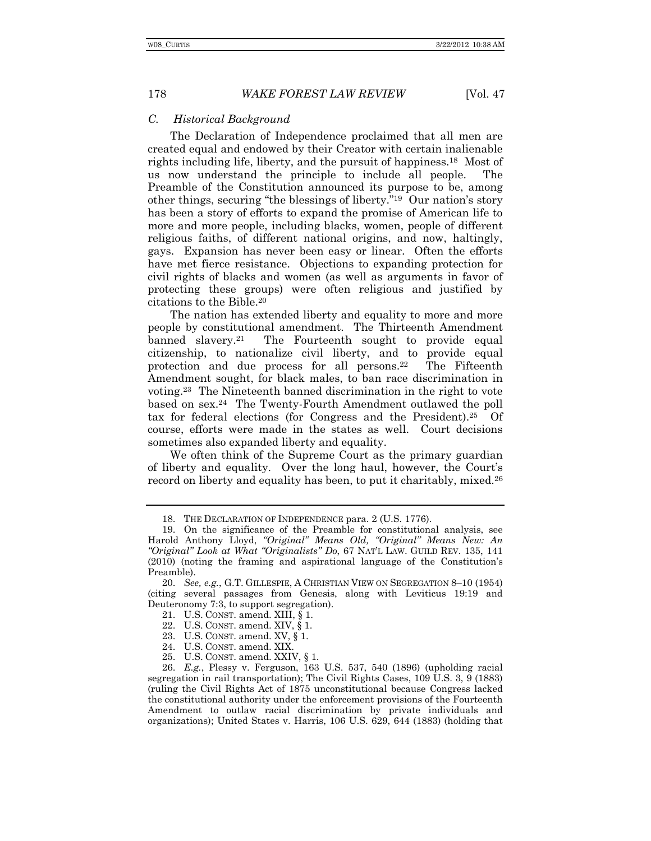#### *C. Historical Background*

The Declaration of Independence proclaimed that all men are created equal and endowed by their Creator with certain inalienable rights including life, liberty, and the pursuit of happiness.18 Most of us now understand the principle to include all people. The Preamble of the Constitution announced its purpose to be, among other things, securing "the blessings of liberty."19 Our nation's story has been a story of efforts to expand the promise of American life to more and more people, including blacks, women, people of different religious faiths, of different national origins, and now, haltingly, gays. Expansion has never been easy or linear. Often the efforts have met fierce resistance. Objections to expanding protection for civil rights of blacks and women (as well as arguments in favor of protecting these groups) were often religious and justified by citations to the Bible.20

The nation has extended liberty and equality to more and more people by constitutional amendment. The Thirteenth Amendment banned slavery.21 The Fourteenth sought to provide equal citizenship, to nationalize civil liberty, and to provide equal protection and due process for all persons.22 The Fifteenth Amendment sought, for black males, to ban race discrimination in voting.23 The Nineteenth banned discrimination in the right to vote based on sex.24 The Twenty-Fourth Amendment outlawed the poll tax for federal elections (for Congress and the President).25 Of course, efforts were made in the states as well. Court decisions sometimes also expanded liberty and equality.

We often think of the Supreme Court as the primary guardian of liberty and equality. Over the long haul, however, the Court's record on liberty and equality has been, to put it charitably, mixed.26

- 24. U.S. CONST. amend. XIX.
- 25. U.S. CONST. amend. XXIV, § 1.

 26. *E.g.*, Plessy v. Ferguson, 163 U.S. 537, 540 (1896) (upholding racial segregation in rail transportation); The Civil Rights Cases, 109 U.S. 3, 9 (1883) (ruling the Civil Rights Act of 1875 unconstitutional because Congress lacked the constitutional authority under the enforcement provisions of the Fourteenth Amendment to outlaw racial discrimination by private individuals and organizations); United States v. Harris, 106 U.S. 629, 644 (1883) (holding that

 <sup>18.</sup> THE DECLARATION OF INDEPENDENCE para. 2 (U.S. 1776).

 <sup>19.</sup> On the significance of the Preamble for constitutional analysis, see Harold Anthony Lloyd, *"Original" Means Old, "Original" Means New: An "Original" Look at What "Originalists" Do*, 67 NAT'L LAW. GUILD REV. 135, 141 (2010) (noting the framing and aspirational language of the Constitution's Preamble).

 <sup>20.</sup> *See, e.g.*, G.T. GILLESPIE, A CHRISTIAN VIEW ON SEGREGATION 8–10 (1954) (citing several passages from Genesis, along with Leviticus 19:19 and Deuteronomy 7:3, to support segregation).

 <sup>21.</sup> U.S. CONST. amend. XIII, § 1.

 <sup>22.</sup> U.S. CONST. amend. XIV, § 1.

 <sup>23.</sup> U.S. CONST. amend. XV, § 1.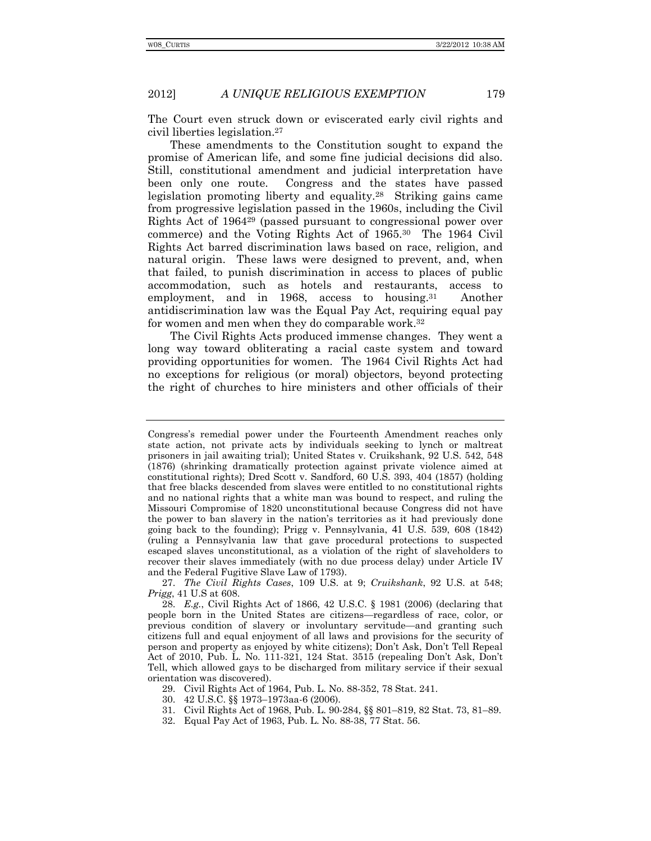The Court even struck down or eviscerated early civil rights and civil liberties legislation.27

These amendments to the Constitution sought to expand the promise of American life, and some fine judicial decisions did also. Still, constitutional amendment and judicial interpretation have been only one route. Congress and the states have passed legislation promoting liberty and equality.28 Striking gains came from progressive legislation passed in the 1960s, including the Civil Rights Act of 196429 (passed pursuant to congressional power over commerce) and the Voting Rights Act of 1965.30 The 1964 Civil Rights Act barred discrimination laws based on race, religion, and natural origin. These laws were designed to prevent, and, when that failed, to punish discrimination in access to places of public accommodation, such as hotels and restaurants, access to employment, and in 1968, access to housing.<sup>31</sup> Another antidiscrimination law was the Equal Pay Act, requiring equal pay for women and men when they do comparable work.32

The Civil Rights Acts produced immense changes. They went a long way toward obliterating a racial caste system and toward providing opportunities for women. The 1964 Civil Rights Act had no exceptions for religious (or moral) objectors, beyond protecting the right of churches to hire ministers and other officials of their

Congress's remedial power under the Fourteenth Amendment reaches only state action, not private acts by individuals seeking to lynch or maltreat prisoners in jail awaiting trial); United States v. Cruikshank, 92 U.S. 542, 548 (1876) (shrinking dramatically protection against private violence aimed at constitutional rights); Dred Scott v. Sandford, 60 U.S. 393, 404 (1857) (holding that free blacks descended from slaves were entitled to no constitutional rights and no national rights that a white man was bound to respect, and ruling the Missouri Compromise of 1820 unconstitutional because Congress did not have the power to ban slavery in the nation's territories as it had previously done going back to the founding); Prigg v. Pennsylvania, 41 U.S. 539, 608 (1842) (ruling a Pennsylvania law that gave procedural protections to suspected escaped slaves unconstitutional, as a violation of the right of slaveholders to recover their slaves immediately (with no due process delay) under Article IV and the Federal Fugitive Slave Law of 1793).

 <sup>27.</sup> *The Civil Rights Cases*, 109 U.S. at 9; *Cruikshank*, 92 U.S. at 548; *Prigg*, 41 U.S at 608.

 <sup>28.</sup> *E.g.*, Civil Rights Act of 1866, 42 U.S.C. § 1981 (2006) (declaring that people born in the United States are citizens—regardless of race, color, or previous condition of slavery or involuntary servitude—and granting such citizens full and equal enjoyment of all laws and provisions for the security of person and property as enjoyed by white citizens); Don't Ask, Don't Tell Repeal Act of 2010, Pub. L. No. 111-321, 124 Stat. 3515 (repealing Don't Ask, Don't Tell, which allowed gays to be discharged from military service if their sexual orientation was discovered).

 <sup>29.</sup> Civil Rights Act of 1964, Pub. L. No. 88-352, 78 Stat. 241.

 <sup>30. 42</sup> U.S.C. §§ 1973–1973aa-6 (2006).

 <sup>31.</sup> Civil Rights Act of 1968, Pub. L. 90-284, §§ 801–819, 82 Stat. 73, 81–89.

 <sup>32.</sup> Equal Pay Act of 1963, Pub. L. No. 88-38, 77 Stat. 56.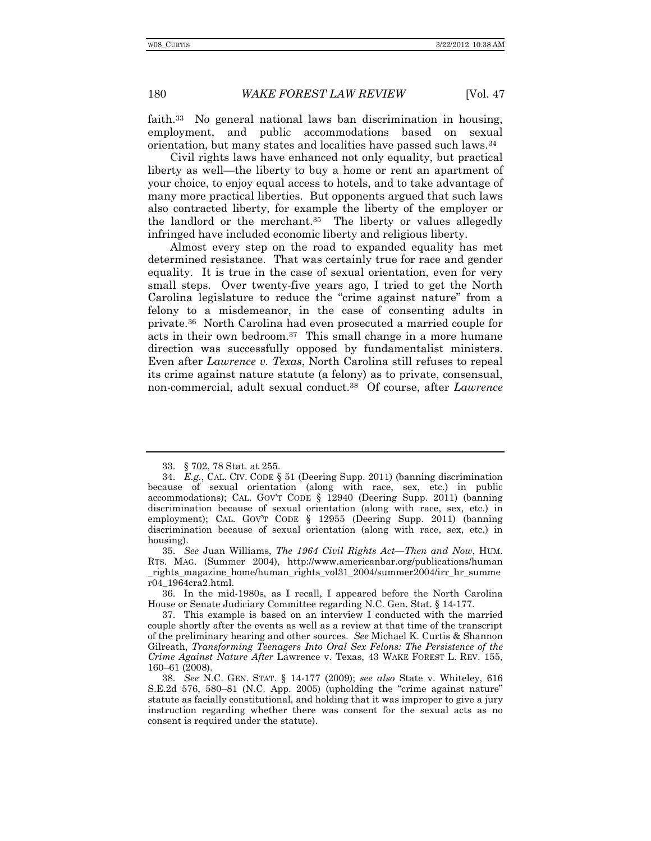faith.33 No general national laws ban discrimination in housing, employment, and public accommodations based on sexual orientation, but many states and localities have passed such laws.34

Civil rights laws have enhanced not only equality, but practical liberty as well—the liberty to buy a home or rent an apartment of your choice, to enjoy equal access to hotels, and to take advantage of many more practical liberties. But opponents argued that such laws also contracted liberty, for example the liberty of the employer or the landlord or the merchant.35 The liberty or values allegedly infringed have included economic liberty and religious liberty.

Almost every step on the road to expanded equality has met determined resistance. That was certainly true for race and gender equality. It is true in the case of sexual orientation, even for very small steps. Over twenty-five years ago, I tried to get the North Carolina legislature to reduce the "crime against nature" from a felony to a misdemeanor, in the case of consenting adults in private.36 North Carolina had even prosecuted a married couple for acts in their own bedroom.37 This small change in a more humane direction was successfully opposed by fundamentalist ministers. Even after *Lawrence v. Texas*, North Carolina still refuses to repeal its crime against nature statute (a felony) as to private, consensual, non-commercial, adult sexual conduct.38 Of course, after *Lawrence* 

 36. In the mid-1980s, as I recall, I appeared before the North Carolina House or Senate Judiciary Committee regarding N.C. Gen. Stat. § 14-177.

 <sup>33. § 702, 78</sup> Stat. at 255.

 <sup>34.</sup> *E.g.*, CAL. CIV. CODE § 51 (Deering Supp. 2011) (banning discrimination because of sexual orientation (along with race, sex, etc.) in public accommodations); CAL. GOV'T CODE § 12940 (Deering Supp. 2011) (banning discrimination because of sexual orientation (along with race, sex, etc.) in employment); CAL. GOV'T CODE § 12955 (Deering Supp. 2011) (banning discrimination because of sexual orientation (along with race, sex, etc.) in housing).

 <sup>35.</sup> *See* Juan Williams, *The 1964 Civil Rights Act—Then and Now*, HUM. RTS. MAG. (Summer 2004), http://www.americanbar.org/publications/human \_rights\_magazine\_home/human\_rights\_vol31\_2004/summer2004/irr\_hr\_summe r04\_1964cra2.html.

 <sup>37.</sup> This example is based on an interview I conducted with the married couple shortly after the events as well as a review at that time of the transcript of the preliminary hearing and other sources. *See* Michael K. Curtis & Shannon Gilreath, *Transforming Teenagers Into Oral Sex Felons: The Persistence of the Crime Against Nature After* Lawrence v. Texas, 43 WAKE FOREST L. REV. 155, 160–61 (2008).

 <sup>38.</sup> *See* N.C. GEN. STAT. § 14-177 (2009); *see also* State v. Whiteley, 616 S.E.2d 576, 580–81 (N.C. App. 2005) (upholding the "crime against nature" statute as facially constitutional, and holding that it was improper to give a jury instruction regarding whether there was consent for the sexual acts as no consent is required under the statute).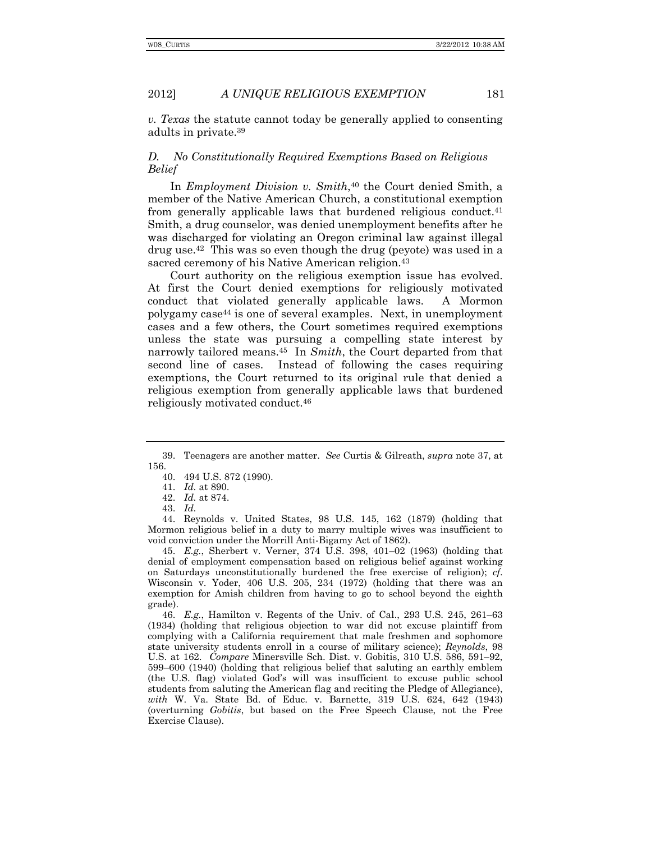*v. Texas* the statute cannot today be generally applied to consenting adults in private.39

# *D. No Constitutionally Required Exemptions Based on Religious Belief*

In *Employment Division v. Smith*,40 the Court denied Smith, a member of the Native American Church, a constitutional exemption from generally applicable laws that burdened religious conduct.41 Smith, a drug counselor, was denied unemployment benefits after he was discharged for violating an Oregon criminal law against illegal drug use.42 This was so even though the drug (peyote) was used in a sacred ceremony of his Native American religion.<sup>43</sup>

Court authority on the religious exemption issue has evolved. At first the Court denied exemptions for religiously motivated conduct that violated generally applicable laws. A Mormon polygamy case44 is one of several examples. Next, in unemployment cases and a few others, the Court sometimes required exemptions unless the state was pursuing a compelling state interest by narrowly tailored means.45 In *Smith*, the Court departed from that second line of cases. Instead of following the cases requiring exemptions, the Court returned to its original rule that denied a religious exemption from generally applicable laws that burdened religiously motivated conduct.46

 45. *E.g.*, Sherbert v. Verner, 374 U.S. 398, 401–02 (1963) (holding that denial of employment compensation based on religious belief against working on Saturdays unconstitutionally burdened the free exercise of religion); *cf*. Wisconsin v. Yoder, 406 U.S. 205, 234 (1972) (holding that there was an exemption for Amish children from having to go to school beyond the eighth grade).

 46. *E.g.*, Hamilton v. Regents of the Univ. of Cal., 293 U.S. 245, 261–63 (1934) (holding that religious objection to war did not excuse plaintiff from complying with a California requirement that male freshmen and sophomore state university students enroll in a course of military science); *Reynolds*, 98 U.S. at 162. *Compare* Minersville Sch. Dist. v. Gobitis, 310 U.S. 586, 591–92, 599–600 (1940) (holding that religious belief that saluting an earthly emblem (the U.S. flag) violated God's will was insufficient to excuse public school students from saluting the American flag and reciting the Pledge of Allegiance), *with* W. Va. State Bd. of Educ. v. Barnette, 319 U.S. 624, 642 (1943) (overturning *Gobitis*, but based on the Free Speech Clause, not the Free Exercise Clause).

 <sup>39.</sup> Teenagers are another matter. *See* Curtis & Gilreath, *supra* note 37, at 156.

 <sup>40. 494</sup> U.S. 872 (1990).

 <sup>41.</sup> *Id.* at 890.

 <sup>42.</sup> *Id.* at 874.

 <sup>43.</sup> *Id.*

 <sup>44.</sup> Reynolds v. United States, 98 U.S. 145, 162 (1879) (holding that Mormon religious belief in a duty to marry multiple wives was insufficient to void conviction under the Morrill Anti-Bigamy Act of 1862).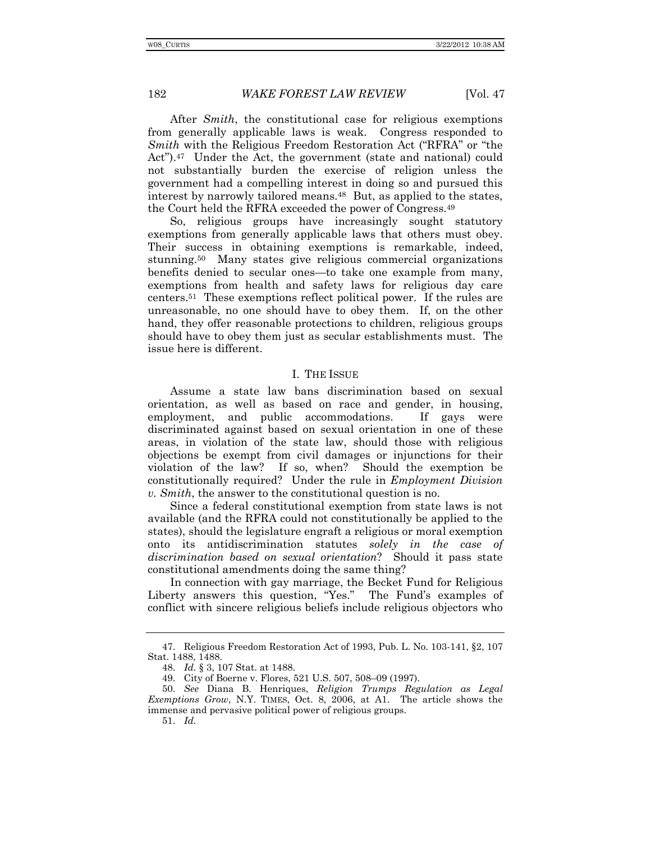After *Smith*, the constitutional case for religious exemptions from generally applicable laws is weak. Congress responded to *Smith* with the Religious Freedom Restoration Act ("RFRA" or "the Act").<sup>47</sup> Under the Act, the government (state and national) could not substantially burden the exercise of religion unless the government had a compelling interest in doing so and pursued this interest by narrowly tailored means.48 But, as applied to the states, the Court held the RFRA exceeded the power of Congress.49

So, religious groups have increasingly sought statutory exemptions from generally applicable laws that others must obey. Their success in obtaining exemptions is remarkable, indeed, stunning.50 Many states give religious commercial organizations benefits denied to secular ones—to take one example from many, exemptions from health and safety laws for religious day care centers.51 These exemptions reflect political power. If the rules are unreasonable, no one should have to obey them. If, on the other hand, they offer reasonable protections to children, religious groups should have to obey them just as secular establishments must. The issue here is different.

#### I. THE ISSUE

Assume a state law bans discrimination based on sexual orientation, as well as based on race and gender, in housing, employment, and public accommodations. If gays were discriminated against based on sexual orientation in one of these areas, in violation of the state law, should those with religious objections be exempt from civil damages or injunctions for their violation of the law? If so, when? Should the exemption be constitutionally required? Under the rule in *Employment Division v. Smith*, the answer to the constitutional question is no.

Since a federal constitutional exemption from state laws is not available (and the RFRA could not constitutionally be applied to the states), should the legislature engraft a religious or moral exemption onto its antidiscrimination statutes *solely in the case of discrimination based on sexual orientation*? Should it pass state constitutional amendments doing the same thing?

In connection with gay marriage, the Becket Fund for Religious Liberty answers this question, "Yes." The Fund's examples of conflict with sincere religious beliefs include religious objectors who

51. *Id.* 

 <sup>47.</sup> Religious Freedom Restoration Act of 1993, Pub. L. No. 103-141, §2, 107 Stat. 1488, 1488.

 <sup>48.</sup> *Id.* § 3, 107 Stat. at 1488.

 <sup>49.</sup> City of Boerne v. Flores, 521 U.S. 507, 508–09 (1997).

 <sup>50.</sup> *See* Diana B. Henriques, *Religion Trumps Regulation as Legal Exemptions Grow*, N.Y. TIMES, Oct. 8, 2006, at A1. The article shows the immense and pervasive political power of religious groups.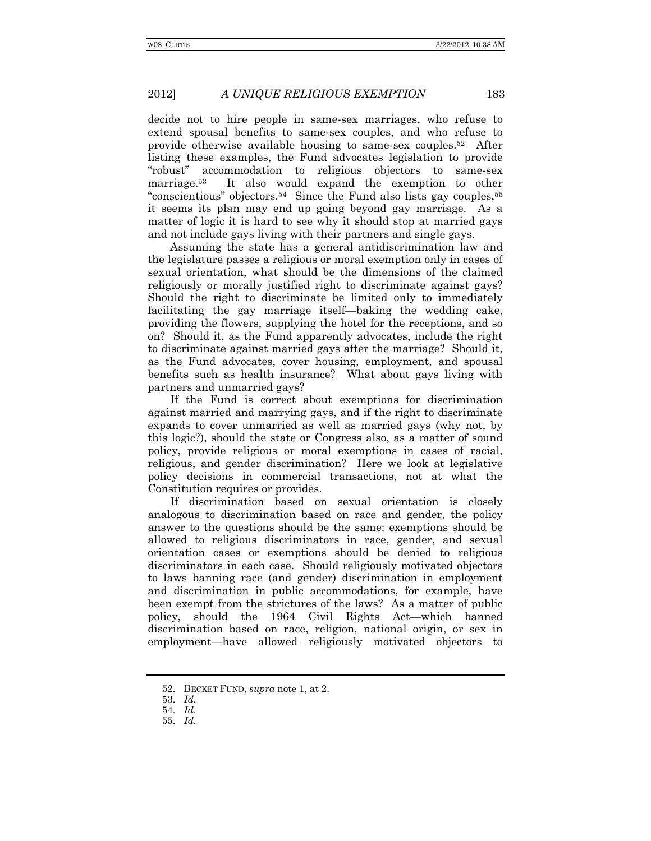decide not to hire people in same-sex marriages, who refuse to extend spousal benefits to same-sex couples, and who refuse to provide otherwise available housing to same-sex couples.52 After listing these examples, the Fund advocates legislation to provide "robust" accommodation to religious objectors to same-sex marriage.53 It also would expand the exemption to other "conscientious" objectors.<sup>54</sup> Since the Fund also lists gay couples,<sup>55</sup> it seems its plan may end up going beyond gay marriage. As a matter of logic it is hard to see why it should stop at married gays and not include gays living with their partners and single gays.

Assuming the state has a general antidiscrimination law and the legislature passes a religious or moral exemption only in cases of sexual orientation, what should be the dimensions of the claimed religiously or morally justified right to discriminate against gays? Should the right to discriminate be limited only to immediately facilitating the gay marriage itself—baking the wedding cake, providing the flowers, supplying the hotel for the receptions, and so on? Should it, as the Fund apparently advocates, include the right to discriminate against married gays after the marriage? Should it, as the Fund advocates, cover housing, employment, and spousal benefits such as health insurance? What about gays living with partners and unmarried gays?

If the Fund is correct about exemptions for discrimination against married and marrying gays, and if the right to discriminate expands to cover unmarried as well as married gays (why not, by this logic?), should the state or Congress also, as a matter of sound policy, provide religious or moral exemptions in cases of racial, religious, and gender discrimination? Here we look at legislative policy decisions in commercial transactions, not at what the Constitution requires or provides.

If discrimination based on sexual orientation is closely analogous to discrimination based on race and gender, the policy answer to the questions should be the same: exemptions should be allowed to religious discriminators in race, gender, and sexual orientation cases or exemptions should be denied to religious discriminators in each case. Should religiously motivated objectors to laws banning race (and gender) discrimination in employment and discrimination in public accommodations, for example, have been exempt from the strictures of the laws? As a matter of public policy, should the 1964 Civil Rights Act—which banned discrimination based on race, religion, national origin, or sex in employment—have allowed religiously motivated objectors to

 <sup>52.</sup> BECKET FUND, *supra* note 1, at 2.

 <sup>53.</sup> *Id.*

 <sup>54.</sup> *Id.*

 <sup>55.</sup> *Id.*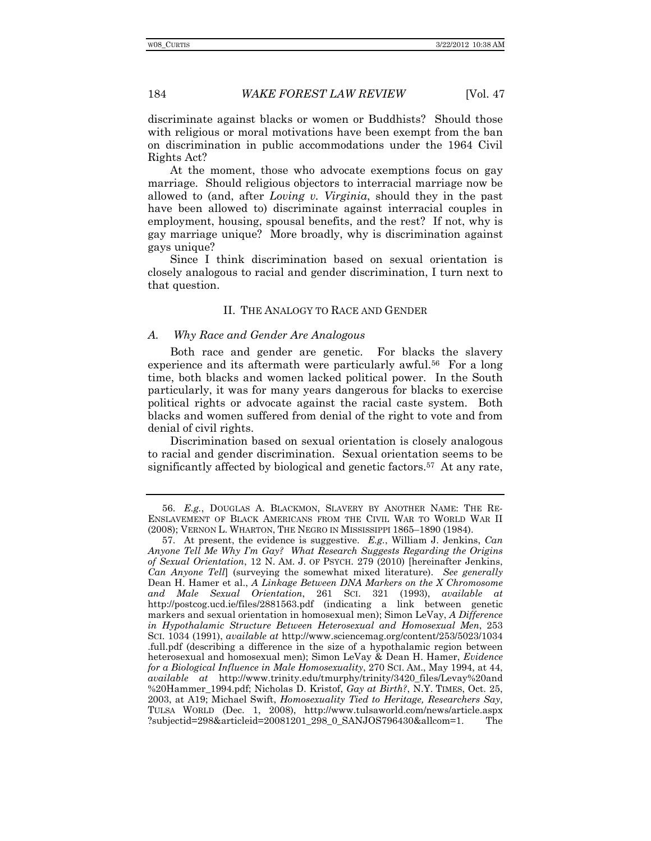discriminate against blacks or women or Buddhists? Should those with religious or moral motivations have been exempt from the ban on discrimination in public accommodations under the 1964 Civil Rights Act?

At the moment, those who advocate exemptions focus on gay marriage. Should religious objectors to interracial marriage now be allowed to (and, after *Loving v. Virginia*, should they in the past have been allowed to) discriminate against interracial couples in employment, housing, spousal benefits, and the rest? If not, why is gay marriage unique? More broadly, why is discrimination against gays unique?

Since I think discrimination based on sexual orientation is closely analogous to racial and gender discrimination, I turn next to that question.

#### II. THE ANALOGY TO RACE AND GENDER

#### *A. Why Race and Gender Are Analogous*

Both race and gender are genetic. For blacks the slavery experience and its aftermath were particularly awful.<sup>56</sup> For a long time, both blacks and women lacked political power. In the South particularly, it was for many years dangerous for blacks to exercise political rights or advocate against the racial caste system. Both blacks and women suffered from denial of the right to vote and from denial of civil rights.

Discrimination based on sexual orientation is closely analogous to racial and gender discrimination. Sexual orientation seems to be significantly affected by biological and genetic factors.57 At any rate,

 <sup>56.</sup> *E.g.*, DOUGLAS A. BLACKMON, SLAVERY BY ANOTHER NAME: THE RE-ENSLAVEMENT OF BLACK AMERICANS FROM THE CIVIL WAR TO WORLD WAR II (2008); VERNON L. WHARTON, THE NEGRO IN MISSISSIPPI 1865–1890 (1984).

 <sup>57.</sup> At present, the evidence is suggestive. *E.g.*, William J. Jenkins, *Can Anyone Tell Me Why I'm Gay? What Research Suggests Regarding the Origins of Sexual Orientation*, 12 N. AM. J. OF PSYCH. 279 (2010) [hereinafter Jenkins, *Can Anyone Tell*] (surveying the somewhat mixed literature). *See generally* Dean H. Hamer et al., *A Linkage Between DNA Markers on the X Chromosome*  and Male Sexual Orientation, 261 Sci. 321 (1993), *available* http://postcog.ucd.ie/files/2881563.pdf (indicating a link between genetic markers and sexual orientation in homosexual men); Simon LeVay, *A Difference in Hypothalamic Structure Between Heterosexual and Homosexual Men*, 253 SCI. 1034 (1991), *available at* http://www.sciencemag.org/content/253/5023/1034 .full.pdf (describing a difference in the size of a hypothalamic region between heterosexual and homosexual men); Simon LeVay & Dean H. Hamer, *Evidence for a Biological Influence in Male Homosexuality*, 270 SCI. AM., May 1994, at 44, *available at* http://www.trinity.edu/tmurphy/trinity/3420\_files/Levay%20and %20Hammer\_1994.pdf; Nicholas D. Kristof, *Gay at Birth?*, N.Y. TIMES, Oct. 25, 2003, at A19; Michael Swift, *Homosexuality Tied to Heritage, Researchers Say*, TULSA WORLD (Dec. 1, 2008), http://www.tulsaworld.com/news/article.aspx ?subjectid=298&articleid=20081201\_298\_0\_SANJOS796430&allcom=1. The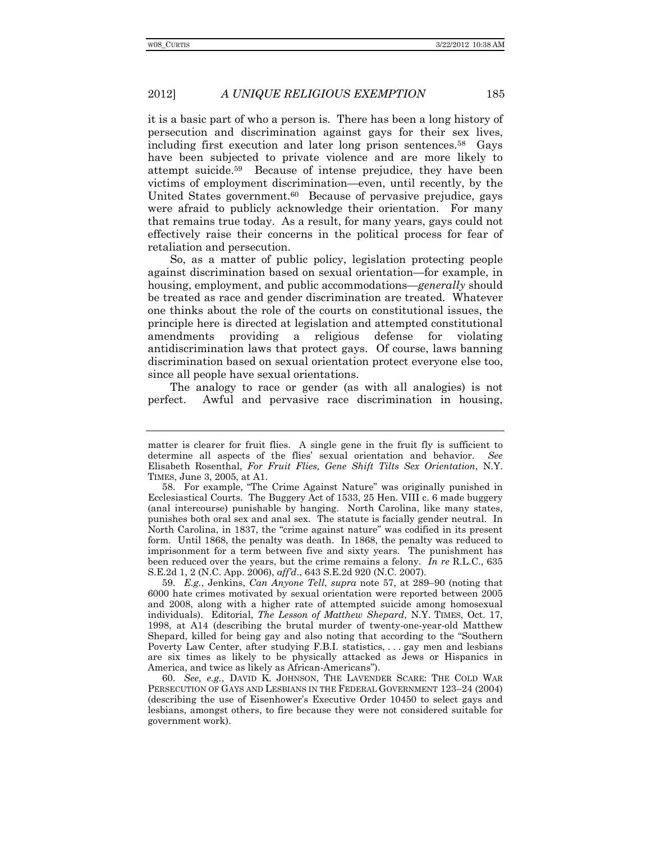it is a basic part of who a person is. There has been a long history of persecution and discrimination against gays for their sex lives, including first execution and later long prison sentences.58 Gays have been subjected to private violence and are more likely to attempt suicide.59 Because of intense prejudice, they have been victims of employment discrimination—even, until recently, by the United States government.<sup>60</sup> Because of pervasive prejudice, gays were afraid to publicly acknowledge their orientation. For many that remains true today. As a result, for many years, gays could not effectively raise their concerns in the political process for fear of retaliation and persecution.

So, as a matter of public policy, legislation protecting people against discrimination based on sexual orientation—for example, in housing, employment, and public accommodations—*generally* should be treated as race and gender discrimination are treated. Whatever one thinks about the role of the courts on constitutional issues, the principle here is directed at legislation and attempted constitutional amendments providing a religious defense for violating antidiscrimination laws that protect gays. Of course, laws banning discrimination based on sexual orientation protect everyone else too, since all people have sexual orientations.

The analogy to race or gender (as with all analogies) is not perfect. Awful and pervasive race discrimination in housing,

 59. *E.g.*, Jenkins, *Can Anyone Tell*, *supra* note 57, at 289–90 (noting that 6000 hate crimes motivated by sexual orientation were reported between 2005 and 2008, along with a higher rate of attempted suicide among homosexual individuals). Editorial, *The Lesson of Matthew Shepard*, N.Y. TIMES, Oct. 17, 1998, at A14 (describing the brutal murder of twenty-one-year-old Matthew Shepard, killed for being gay and also noting that according to the "Southern Poverty Law Center, after studying F.B.I. statistics, . . . gay men and lesbians are six times as likely to be physically attacked as Jews or Hispanics in America, and twice as likely as African-Americans").

 60. *See, e.g.*, DAVID K. JOHNSON, THE LAVENDER SCARE: THE COLD WAR PERSECUTION OF GAYS AND LESBIANS IN THE FEDERAL GOVERNMENT 123–24 (2004) (describing the use of Eisenhower's Executive Order 10450 to select gays and lesbians, amongst others, to fire because they were not considered suitable for government work).

matter is clearer for fruit flies. A single gene in the fruit fly is sufficient to determine all aspects of the flies' sexual orientation and behavior. *See* Elisabeth Rosenthal, *For Fruit Flies, Gene Shift Tilts Sex Orientation*, N.Y. TIMES, June 3, 2005, at A1.

 <sup>58.</sup> For example, "The Crime Against Nature" was originally punished in Ecclesiastical Courts. The Buggery Act of 1533, 25 Hen. VIII c. 6 made buggery (anal intercourse) punishable by hanging. North Carolina, like many states, punishes both oral sex and anal sex. The statute is facially gender neutral. In North Carolina, in 1837, the "crime against nature" was codified in its present form. Until 1868, the penalty was death. In 1868, the penalty was reduced to imprisonment for a term between five and sixty years. The punishment has been reduced over the years, but the crime remains a felony. *In re* R.L.C., 635 S.E.2d 1, 2 (N.C. App. 2006), *aff'd*., 643 S.E.2d 920 (N.C. 2007).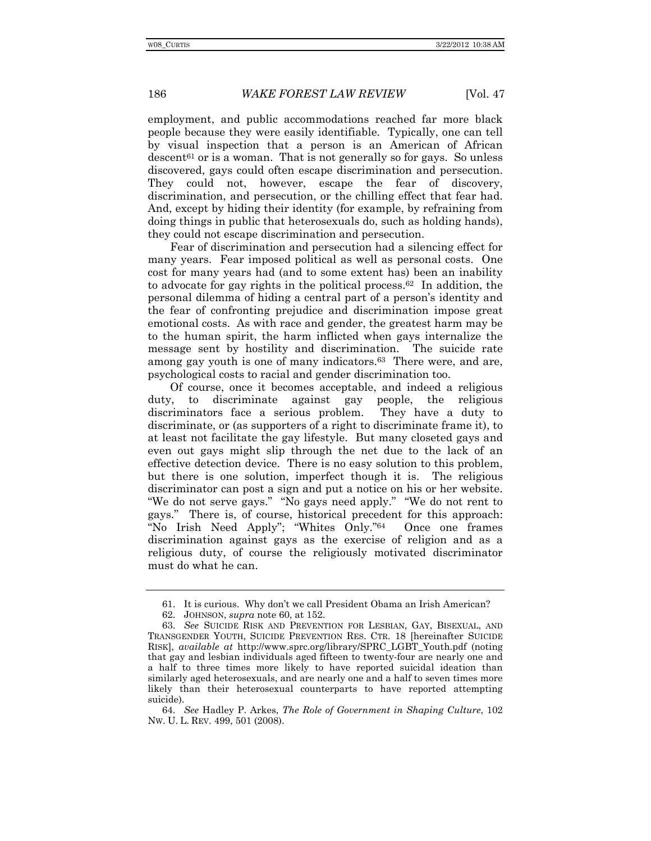employment, and public accommodations reached far more black people because they were easily identifiable. Typically, one can tell by visual inspection that a person is an American of African  $descent<sup>61</sup>$  or is a woman. That is not generally so for gays. So unless discovered, gays could often escape discrimination and persecution. They could not, however, escape the fear of discovery, discrimination, and persecution, or the chilling effect that fear had. And, except by hiding their identity (for example, by refraining from doing things in public that heterosexuals do, such as holding hands), they could not escape discrimination and persecution.

Fear of discrimination and persecution had a silencing effect for many years. Fear imposed political as well as personal costs. One cost for many years had (and to some extent has) been an inability to advocate for gay rights in the political process.62 In addition, the personal dilemma of hiding a central part of a person's identity and the fear of confronting prejudice and discrimination impose great emotional costs. As with race and gender, the greatest harm may be to the human spirit, the harm inflicted when gays internalize the message sent by hostility and discrimination. The suicide rate among gay youth is one of many indicators.63 There were, and are, psychological costs to racial and gender discrimination too.

Of course, once it becomes acceptable, and indeed a religious duty, to discriminate against gay people, the religious discriminators face a serious problem. They have a duty to discriminate, or (as supporters of a right to discriminate frame it), to at least not facilitate the gay lifestyle. But many closeted gays and even out gays might slip through the net due to the lack of an effective detection device. There is no easy solution to this problem, but there is one solution, imperfect though it is. The religious discriminator can post a sign and put a notice on his or her website. "We do not serve gays." "No gays need apply." "We do not rent to gays." There is, of course, historical precedent for this approach: "No Irish Need Apply"; "Whites Only."64 Once one frames discrimination against gays as the exercise of religion and as a religious duty, of course the religiously motivated discriminator must do what he can.

 <sup>61.</sup> It is curious. Why don't we call President Obama an Irish American?

 <sup>62.</sup> JOHNSON, *supra* note 60, at 152.

 <sup>63.</sup> *See* SUICIDE RISK AND PREVENTION FOR LESBIAN, GAY, BISEXUAL, AND TRANSGENDER YOUTH, SUICIDE PREVENTION RES. CTR. 18 [hereinafter SUICIDE RISK], *available at* http://www.sprc.org/library/SPRC\_LGBT\_Youth.pdf (noting that gay and lesbian individuals aged fifteen to twenty-four are nearly one and a half to three times more likely to have reported suicidal ideation than similarly aged heterosexuals, and are nearly one and a half to seven times more likely than their heterosexual counterparts to have reported attempting suicide).

 <sup>64.</sup> *See* Hadley P. Arkes, *The Role of Government in Shaping Culture*, 102 NW. U. L. REV. 499, 501 (2008).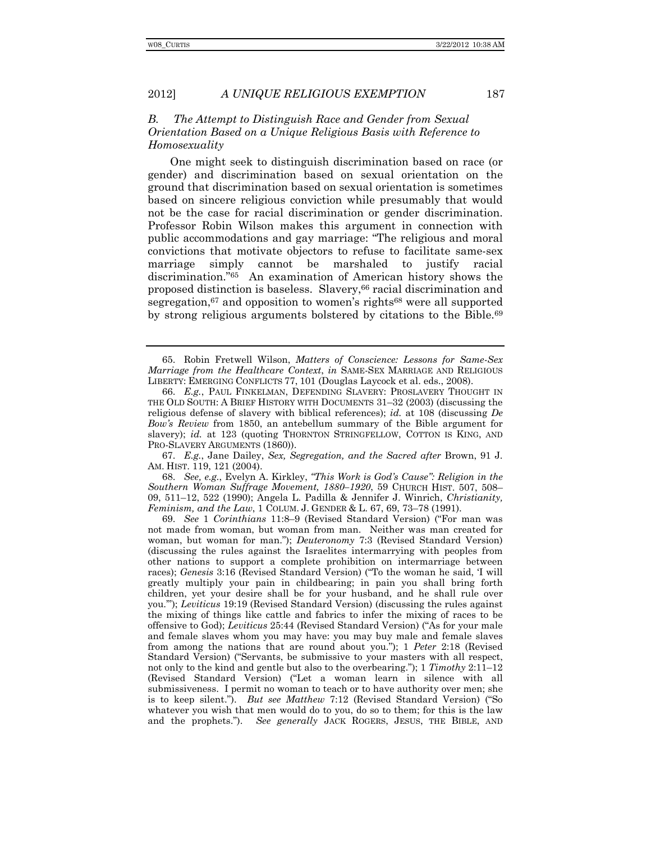#### *B. The Attempt to Distinguish Race and Gender from Sexual Orientation Based on a Unique Religious Basis with Reference to Homosexuality*

One might seek to distinguish discrimination based on race (or gender) and discrimination based on sexual orientation on the ground that discrimination based on sexual orientation is sometimes based on sincere religious conviction while presumably that would not be the case for racial discrimination or gender discrimination. Professor Robin Wilson makes this argument in connection with public accommodations and gay marriage: "The religious and moral convictions that motivate objectors to refuse to facilitate same-sex marriage simply cannot be marshaled to justify racial discrimination."65 An examination of American history shows the proposed distinction is baseless. Slavery,<sup>66</sup> racial discrimination and segregation,<sup>67</sup> and opposition to women's rights<sup>68</sup> were all supported by strong religious arguments bolstered by citations to the Bible.<sup>69</sup>

 67. *E.g.*, Jane Dailey, *Sex, Segregation, and the Sacred after* Brown, 91 J. AM. HIST. 119, 121 (2004).

 68. *See, e.g.*, Evelyn A. Kirkley, *"This Work is God's Cause": Religion in the Southern Woman Suffrage Movement, 1880–1920*, 59 CHURCH HIST. 507, 508– 09, 511–12, 522 (1990); Angela L. Padilla & Jennifer J. Winrich, *Christianity, Feminism, and the Law*, 1 COLUM. J. GENDER & L. 67, 69, 73–78 (1991).

 69. *See* 1 *Corinthians* 11:8–9 (Revised Standard Version) ("For man was not made from woman, but woman from man. Neither was man created for woman, but woman for man."); *Deuteronomy* 7:3 (Revised Standard Version) (discussing the rules against the Israelites intermarrying with peoples from other nations to support a complete prohibition on intermarriage between races); *Genesis* 3:16 (Revised Standard Version) ("To the woman he said, 'I will greatly multiply your pain in childbearing; in pain you shall bring forth children, yet your desire shall be for your husband, and he shall rule over you.'"); *Leviticus* 19:19 (Revised Standard Version) (discussing the rules against the mixing of things like cattle and fabrics to infer the mixing of races to be offensive to God); *Leviticus* 25:44 (Revised Standard Version) ("As for your male and female slaves whom you may have: you may buy male and female slaves from among the nations that are round about you."); 1 *Peter* 2:18 (Revised Standard Version) ("Servants, be submissive to your masters with all respect, not only to the kind and gentle but also to the overbearing."); 1 *Timothy* 2:11–12 (Revised Standard Version) ("Let a woman learn in silence with all submissiveness. I permit no woman to teach or to have authority over men; she is to keep silent."). *But see Matthew* 7:12 (Revised Standard Version) ("So whatever you wish that men would do to you, do so to them; for this is the law and the prophets."). *See generally* JACK ROGERS, JESUS, THE BIBLE, AND

 <sup>65.</sup> Robin Fretwell Wilson, *Matters of Conscience: Lessons for Same-Sex Marriage from the Healthcare Context*, *in* SAME-SEX MARRIAGE AND RELIGIOUS LIBERTY: EMERGING CONFLICTS 77, 101 (Douglas Laycock et al. eds., 2008).

 <sup>66.</sup> *E.g.*, PAUL FINKELMAN, DEFENDING SLAVERY: PROSLAVERY THOUGHT IN THE OLD SOUTH: A BRIEF HISTORY WITH DOCUMENTS 31–32 (2003) (discussing the religious defense of slavery with biblical references); *id.* at 108 (discussing *De Bow's Review* from 1850, an antebellum summary of the Bible argument for slavery); *id.* at 123 (quoting THORNTON STRINGFELLOW, COTTON IS KING, AND PRO-SLAVERY ARGUMENTS (1860)).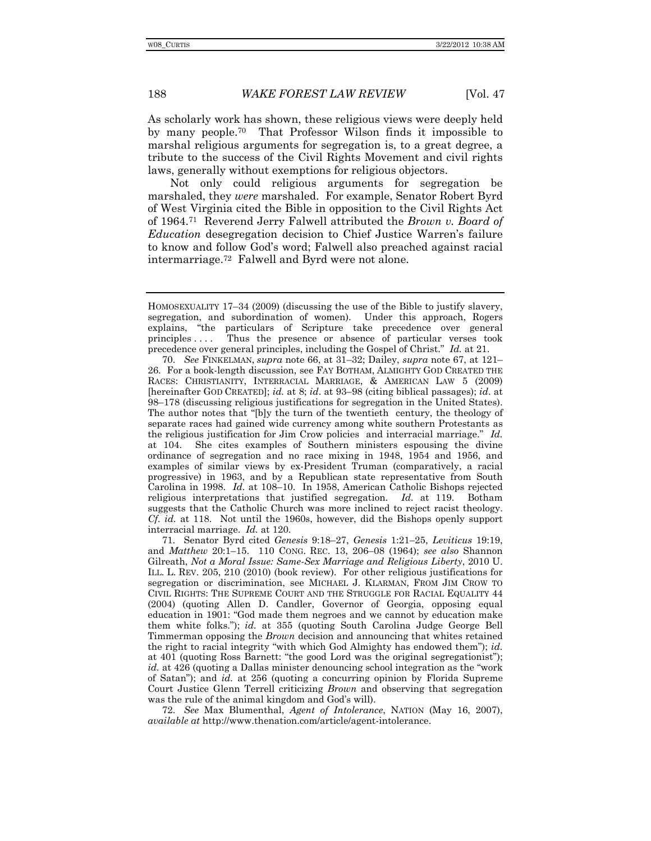As scholarly work has shown, these religious views were deeply held by many people.70 That Professor Wilson finds it impossible to marshal religious arguments for segregation is, to a great degree, a tribute to the success of the Civil Rights Movement and civil rights laws, generally without exemptions for religious objectors.

Not only could religious arguments for segregation be marshaled, they *were* marshaled. For example, Senator Robert Byrd of West Virginia cited the Bible in opposition to the Civil Rights Act of 1964.71 Reverend Jerry Falwell attributed the *Brown v. Board of Education* desegregation decision to Chief Justice Warren's failure to know and follow God's word; Falwell also preached against racial intermarriage.72 Falwell and Byrd were not alone.

 71. Senator Byrd cited *Genesis* 9:18–27, *Genesis* 1:21–25, *Leviticus* 19:19, and *Matthew* 20:1–15. 110 CONG. REC. 13, 206–08 (1964); *see also* Shannon Gilreath, *Not a Moral Issue: Same-Sex Marriage and Religious Liberty*, 2010 U. ILL. L. REV. 205, 210 (2010) (book review). For other religious justifications for segregation or discrimination, see MICHAEL J. KLARMAN, FROM JIM CROW TO CIVIL RIGHTS: THE SUPREME COURT AND THE STRUGGLE FOR RACIAL EQUALITY 44 (2004) (quoting Allen D. Candler, Governor of Georgia, opposing equal education in 1901: "God made them negroes and we cannot by education make them white folks."); *id.* at 355 (quoting South Carolina Judge George Bell Timmerman opposing the *Brown* decision and announcing that whites retained the right to racial integrity "with which God Almighty has endowed them"); *id.* at 401 (quoting Ross Barnett: "the good Lord was the original segregationist"); *id.* at 426 (quoting a Dallas minister denouncing school integration as the "work of Satan"); and *id.* at 256 (quoting a concurring opinion by Florida Supreme Court Justice Glenn Terrell criticizing *Brown* and observing that segregation was the rule of the animal kingdom and God's will).

 72. *See* Max Blumenthal, *Agent of Intolerance*, NATION (May 16, 2007), *available at* http://www.thenation.com/article/agent-intolerance.

HOMOSEXUALITY 17–34 (2009) (discussing the use of the Bible to justify slavery, segregation, and subordination of women). Under this approach, Rogers explains, "the particulars of Scripture take precedence over general principles . . . . Thus the presence or absence of particular verses took precedence over general principles, including the Gospel of Christ." *Id.* at 21.

 <sup>70.</sup> *See* FINKELMAN, *supra* note 66, at 31–32; Dailey, *supra* note 67, at 121– 26. For a book-length discussion, see FAY BOTHAM, ALMIGHTY GOD CREATED THE RACES: CHRISTIANITY, INTERRACIAL MARRIAGE, & AMERICAN LAW 5 (2009) [hereinafter GOD CREATED]; *id.* at 8; *id*. at 93–98 (citing biblical passages); *id*. at 98–178 (discussing religious justifications for segregation in the United States). The author notes that "[b]y the turn of the twentieth century, the theology of separate races had gained wide currency among white southern Protestants as the religious justification for Jim Crow policies and interracial marriage." *Id.* at 104. She cites examples of Southern ministers espousing the divine ordinance of segregation and no race mixing in 1948, 1954 and 1956, and examples of similar views by ex-President Truman (comparatively, a racial progressive) in 1963, and by a Republican state representative from South Carolina in 1998. *Id.* at 108–10. In 1958, American Catholic Bishops rejected religious interpretations that justified segregation. *Id.* at 119. Botham suggests that the Catholic Church was more inclined to reject racist theology. *Cf. id.* at 118. Not until the 1960s, however, did the Bishops openly support interracial marriage. *Id.* at 120.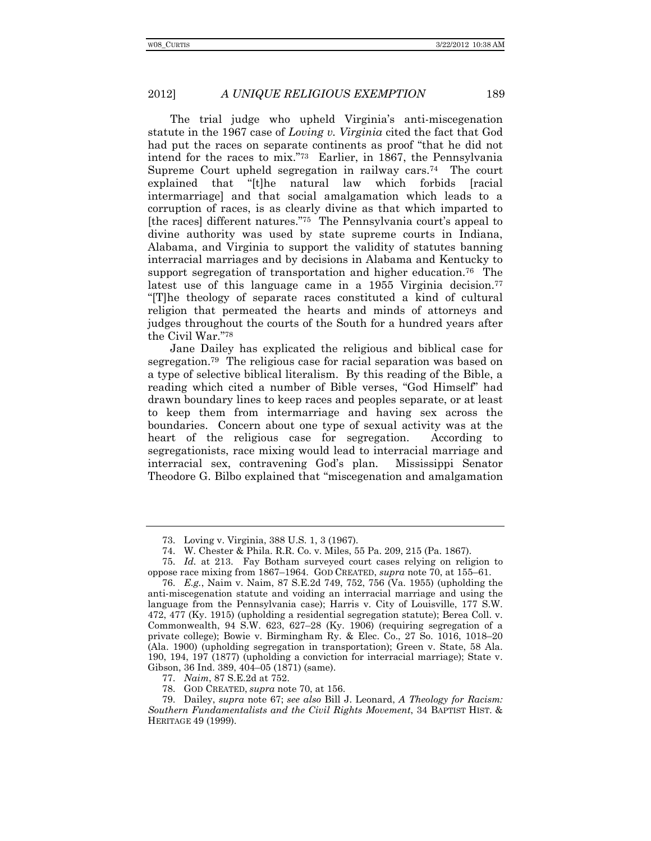The trial judge who upheld Virginia's anti-miscegenation statute in the 1967 case of *Loving v. Virginia* cited the fact that God had put the races on separate continents as proof "that he did not intend for the races to mix."73 Earlier, in 1867, the Pennsylvania Supreme Court upheld segregation in railway cars.74 The court explained that "[t]he natural law which forbids [racial intermarriage] and that social amalgamation which leads to a corruption of races, is as clearly divine as that which imparted to [the races] different natures."75 The Pennsylvania court's appeal to divine authority was used by state supreme courts in Indiana, Alabama, and Virginia to support the validity of statutes banning interracial marriages and by decisions in Alabama and Kentucky to support segregation of transportation and higher education.76 The latest use of this language came in a 1955 Virginia decision.<sup>77</sup> "[T]he theology of separate races constituted a kind of cultural religion that permeated the hearts and minds of attorneys and judges throughout the courts of the South for a hundred years after the Civil War."78

Jane Dailey has explicated the religious and biblical case for segregation.79 The religious case for racial separation was based on a type of selective biblical literalism. By this reading of the Bible, a reading which cited a number of Bible verses, "God Himself" had drawn boundary lines to keep races and peoples separate, or at least to keep them from intermarriage and having sex across the boundaries. Concern about one type of sexual activity was at the heart of the religious case for segregation. According to segregationists, race mixing would lead to interracial marriage and interracial sex, contravening God's plan. Mississippi Senator Theodore G. Bilbo explained that "miscegenation and amalgamation

 <sup>73.</sup> Loving v. Virginia, 388 U.S. 1, 3 (1967).

 <sup>74.</sup> W. Chester & Phila. R.R. Co. v. Miles, 55 Pa. 209, 215 (Pa. 1867).

 <sup>75.</sup> *Id.* at 213. Fay Botham surveyed court cases relying on religion to oppose race mixing from 1867–1964. GOD CREATED, *supra* note 70, at 155–61.

 <sup>76.</sup> *E.g.*, Naim v. Naim, 87 S.E.2d 749, 752, 756 (Va. 1955) (upholding the anti-miscegenation statute and voiding an interracial marriage and using the language from the Pennsylvania case); Harris v. City of Louisville, 177 S.W. 472, 477 (Ky. 1915) (upholding a residential segregation statute); Berea Coll. v. Commonwealth, 94 S.W. 623, 627–28 (Ky. 1906) (requiring segregation of a private college); Bowie v. Birmingham Ry. & Elec. Co., 27 So. 1016, 1018–20 (Ala. 1900) (upholding segregation in transportation); Green v. State, 58 Ala. 190, 194, 197 (1877) (upholding a conviction for interracial marriage); State v. Gibson, 36 Ind. 389, 404–05 (1871) (same).

 <sup>77.</sup> *Naim*, 87 S.E.2d at 752.

 <sup>78.</sup> GOD CREATED, *supra* note 70, at 156.

 <sup>79.</sup> Dailey, *supra* note 67; *see also* Bill J. Leonard, *A Theology for Racism: Southern Fundamentalists and the Civil Rights Movement*, 34 BAPTIST HIST. & HERITAGE 49 (1999).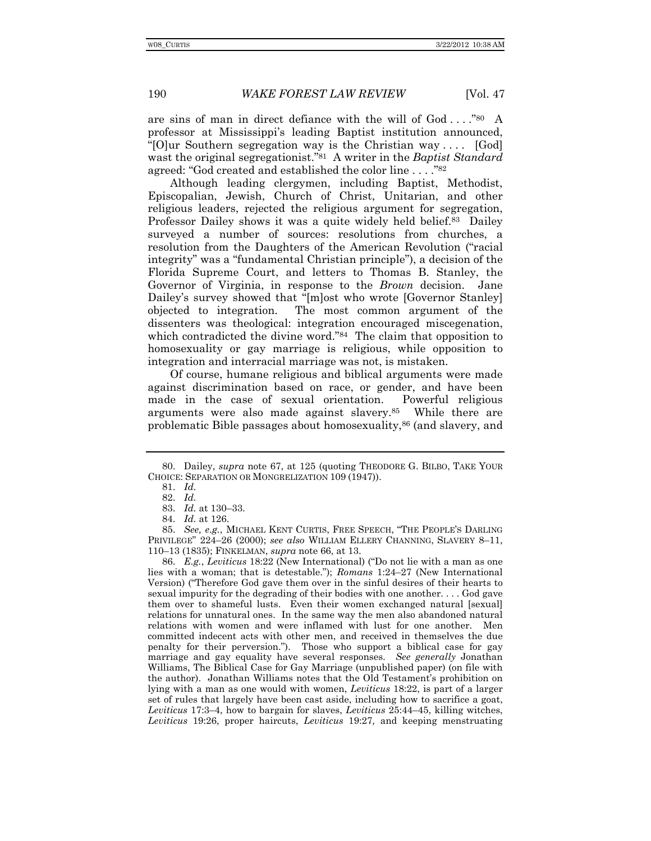are sins of man in direct defiance with the will of God . . . ."80 A professor at Mississippi's leading Baptist institution announced, "[O]ur Southern segregation way is the Christian way . . . . [God] wast the original segregationist."81 A writer in the *Baptist Standard* agreed: "God created and established the color line . . . ."82

Although leading clergymen, including Baptist, Methodist, Episcopalian, Jewish, Church of Christ, Unitarian, and other religious leaders, rejected the religious argument for segregation, Professor Dailey shows it was a quite widely held belief.<sup>83</sup> Dailey surveyed a number of sources: resolutions from churches, a resolution from the Daughters of the American Revolution ("racial integrity" was a "fundamental Christian principle"), a decision of the Florida Supreme Court, and letters to Thomas B. Stanley, the Governor of Virginia, in response to the *Brown* decision. Jane Dailey's survey showed that "[m]ost who wrote [Governor Stanley] objected to integration. The most common argument of the dissenters was theological: integration encouraged miscegenation, which contradicted the divine word."84 The claim that opposition to homosexuality or gay marriage is religious, while opposition to integration and interracial marriage was not, is mistaken.

Of course, humane religious and biblical arguments were made against discrimination based on race, or gender, and have been made in the case of sexual orientation. Powerful religious arguments were also made against slavery.85 While there are problematic Bible passages about homosexuality,86 (and slavery, and

 86. *E.g.*, *Leviticus* 18:22 (New International) ("Do not lie with a man as one lies with a woman; that is detestable."); *Romans* 1:24–27 (New International Version) ("Therefore God gave them over in the sinful desires of their hearts to sexual impurity for the degrading of their bodies with one another. . . . God gave them over to shameful lusts. Even their women exchanged natural [sexual] relations for unnatural ones. In the same way the men also abandoned natural relations with women and were inflamed with lust for one another. Men committed indecent acts with other men, and received in themselves the due penalty for their perversion."). Those who support a biblical case for gay marriage and gay equality have several responses. *See generally* Jonathan Williams, The Biblical Case for Gay Marriage (unpublished paper) (on file with the author). Jonathan Williams notes that the Old Testament's prohibition on lying with a man as one would with women, *Leviticus* 18:22, is part of a larger set of rules that largely have been cast aside, including how to sacrifice a goat, *Leviticus* 17:3–4, how to bargain for slaves, *Leviticus* 25:44–45, killing witches, *Leviticus* 19:26, proper haircuts, *Leviticus* 19:27*,* and keeping menstruating

 <sup>80.</sup> Dailey, *supra* note 67, at 125 (quoting THEODORE G. BILBO, TAKE YOUR CHOICE: SEPARATION OR MONGRELIZATION 109 (1947)).

 <sup>81.</sup> *Id.* 82. *Id.*

 <sup>83.</sup> *Id.* at 130–33. 84. *Id.* at 126.

 <sup>85.</sup> *See, e.g.*, MICHAEL KENT CURTIS, FREE SPEECH, "THE PEOPLE'S DARLING PRIVILEGE" 224–26 (2000); *see also* WILLIAM ELLERY CHANNING, SLAVERY 8–11, 110–13 (1835); FINKELMAN, *supra* note 66, at 13.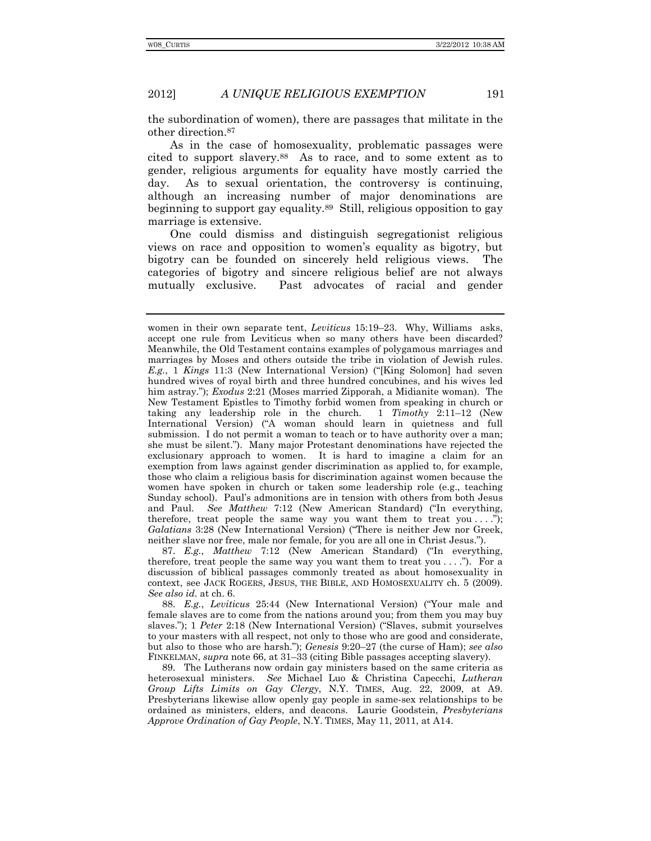the subordination of women), there are passages that militate in the other direction.87

As in the case of homosexuality, problematic passages were cited to support slavery.88 As to race, and to some extent as to gender, religious arguments for equality have mostly carried the day. As to sexual orientation, the controversy is continuing, although an increasing number of major denominations are beginning to support gay equality.89 Still, religious opposition to gay marriage is extensive.

One could dismiss and distinguish segregationist religious views on race and opposition to women's equality as bigotry, but bigotry can be founded on sincerely held religious views. The categories of bigotry and sincere religious belief are not always mutually exclusive. Past advocates of racial and gender

 87. *E.g.*, *Matthew* 7:12 (New American Standard) ("In everything, therefore, treat people the same way you want them to treat you  $\dots$ ."). For a discussion of biblical passages commonly treated as about homosexuality in context, see JACK ROGERS, JESUS, THE BIBLE, AND HOMOSEXUALITY ch. 5 (2009). *See also id*. at ch. 6.

 88. *E.g.*, *Leviticus* 25:44 (New International Version) ("Your male and female slaves are to come from the nations around you; from them you may buy slaves."); 1 *Peter* 2:18 (New International Version) ("Slaves, submit yourselves to your masters with all respect, not only to those who are good and considerate, but also to those who are harsh."); *Genesis* 9:20–27 (the curse of Ham); *see also* FINKELMAN, *supra* note 66, at 31–33 (citing Bible passages accepting slavery).

 89. The Lutherans now ordain gay ministers based on the same criteria as heterosexual ministers. *See* Michael Luo & Christina Capecchi, *Lutheran Group Lifts Limits on Gay Clergy*, N.Y. TIMES, Aug. 22, 2009, at A9. Presbyterians likewise allow openly gay people in same-sex relationships to be ordained as ministers, elders, and deacons. Laurie Goodstein, *Presbyterians Approve Ordination of Gay People*, N.Y. TIMES, May 11, 2011, at A14.

women in their own separate tent, *Leviticus* 15:19–23. Why, Williams asks, accept one rule from Leviticus when so many others have been discarded? Meanwhile, the Old Testament contains examples of polygamous marriages and marriages by Moses and others outside the tribe in violation of Jewish rules. *E.g.*, 1 *Kings* 11:3 (New International Version) ("[King Solomon] had seven hundred wives of royal birth and three hundred concubines, and his wives led him astray."); *Exodus* 2:21 (Moses married Zipporah, a Midianite woman). The New Testament Epistles to Timothy forbid women from speaking in church or taking any leadership role in the church. 1 *Timothy* 2:11–12 (New International Version) ("A woman should learn in quietness and full submission. I do not permit a woman to teach or to have authority over a man; she must be silent."). Many major Protestant denominations have rejected the exclusionary approach to women. It is hard to imagine a claim for an exemption from laws against gender discrimination as applied to, for example, those who claim a religious basis for discrimination against women because the women have spoken in church or taken some leadership role (e.g., teaching Sunday school). Paul's admonitions are in tension with others from both Jesus and Paul. *See Matthew* 7:12 (New American Standard) ("In everything, therefore, treat people the same way you want them to treat you  $\dots$ "); *Galatians* 3:28 (New International Version) ("There is neither Jew nor Greek, neither slave nor free, male nor female, for you are all one in Christ Jesus.").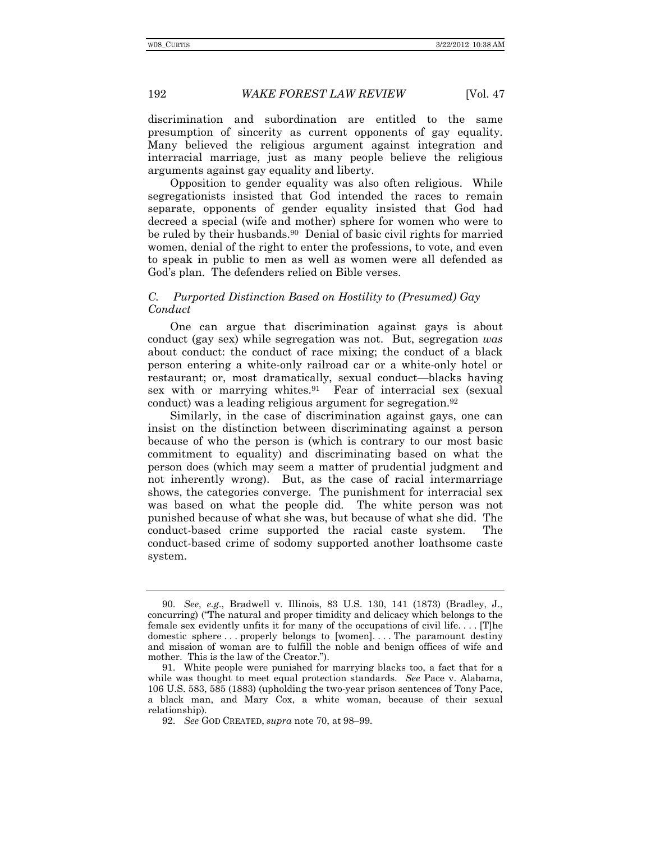discrimination and subordination are entitled to the same presumption of sincerity as current opponents of gay equality. Many believed the religious argument against integration and interracial marriage, just as many people believe the religious arguments against gay equality and liberty.

Opposition to gender equality was also often religious. While segregationists insisted that God intended the races to remain separate, opponents of gender equality insisted that God had decreed a special (wife and mother) sphere for women who were to be ruled by their husbands.90 Denial of basic civil rights for married women, denial of the right to enter the professions, to vote, and even to speak in public to men as well as women were all defended as God's plan. The defenders relied on Bible verses.

# *C. Purported Distinction Based on Hostility to (Presumed) Gay Conduct*

One can argue that discrimination against gays is about conduct (gay sex) while segregation was not. But, segregation *was* about conduct: the conduct of race mixing; the conduct of a black person entering a white-only railroad car or a white-only hotel or restaurant; or, most dramatically, sexual conduct—blacks having sex with or marrying whites.<sup>91</sup> Fear of interracial sex (sexual conduct) was a leading religious argument for segregation.92

Similarly, in the case of discrimination against gays, one can insist on the distinction between discriminating against a person because of who the person is (which is contrary to our most basic commitment to equality) and discriminating based on what the person does (which may seem a matter of prudential judgment and not inherently wrong). But, as the case of racial intermarriage shows, the categories converge. The punishment for interracial sex was based on what the people did. The white person was not punished because of what she was, but because of what she did. The conduct-based crime supported the racial caste system. The conduct-based crime of sodomy supported another loathsome caste system.

 <sup>90.</sup> *See, e.g*., Bradwell v. Illinois, 83 U.S. 130, 141 (1873) (Bradley, J., concurring) ("The natural and proper timidity and delicacy which belongs to the female sex evidently unfits it for many of the occupations of civil life.  $\dots$  [T]he domestic sphere ... properly belongs to [women].... The paramount destiny and mission of woman are to fulfill the noble and benign offices of wife and mother. This is the law of the Creator.").

 <sup>91.</sup> White people were punished for marrying blacks too, a fact that for a while was thought to meet equal protection standards. *See* Pace v. Alabama, 106 U.S. 583, 585 (1883) (upholding the two-year prison sentences of Tony Pace, a black man, and Mary Cox, a white woman, because of their sexual relationship).

 <sup>92.</sup> *See* GOD CREATED, *supra* note 70, at 98–99.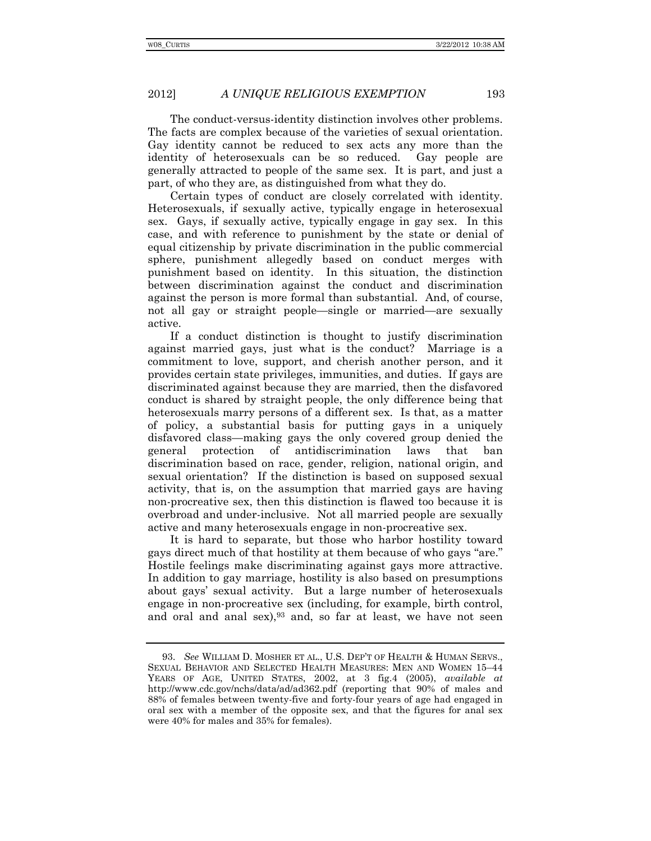The conduct-versus-identity distinction involves other problems. The facts are complex because of the varieties of sexual orientation. Gay identity cannot be reduced to sex acts any more than the identity of heterosexuals can be so reduced. Gay people are generally attracted to people of the same sex. It is part, and just a part, of who they are, as distinguished from what they do.

Certain types of conduct are closely correlated with identity. Heterosexuals, if sexually active, typically engage in heterosexual sex. Gays, if sexually active, typically engage in gay sex. In this case, and with reference to punishment by the state or denial of equal citizenship by private discrimination in the public commercial sphere, punishment allegedly based on conduct merges with punishment based on identity. In this situation, the distinction between discrimination against the conduct and discrimination against the person is more formal than substantial. And, of course, not all gay or straight people—single or married—are sexually active.

If a conduct distinction is thought to justify discrimination against married gays, just what is the conduct? Marriage is a commitment to love, support, and cherish another person, and it provides certain state privileges, immunities, and duties. If gays are discriminated against because they are married, then the disfavored conduct is shared by straight people, the only difference being that heterosexuals marry persons of a different sex. Is that, as a matter of policy, a substantial basis for putting gays in a uniquely disfavored class—making gays the only covered group denied the general protection of antidiscrimination laws that ban discrimination based on race, gender, religion, national origin, and sexual orientation? If the distinction is based on supposed sexual activity, that is, on the assumption that married gays are having non-procreative sex, then this distinction is flawed too because it is overbroad and under-inclusive. Not all married people are sexually active and many heterosexuals engage in non-procreative sex.

It is hard to separate, but those who harbor hostility toward gays direct much of that hostility at them because of who gays "are." Hostile feelings make discriminating against gays more attractive. In addition to gay marriage, hostility is also based on presumptions about gays' sexual activity. But a large number of heterosexuals engage in non-procreative sex (including, for example, birth control, and oral and anal sex),93 and, so far at least, we have not seen

 <sup>93.</sup> *See* WILLIAM D. MOSHER ET AL., U.S. DEP'T OF HEALTH & HUMAN SERVS., SEXUAL BEHAVIOR AND SELECTED HEALTH MEASURES: MEN AND WOMEN 15–44 YEARS OF AGE, UNITED STATES, 2002, at 3 fig.4 (2005), *available at* http://www.cdc.gov/nchs/data/ad/ad362.pdf (reporting that 90% of males and 88% of females between twenty-five and forty-four years of age had engaged in oral sex with a member of the opposite sex, and that the figures for anal sex were 40% for males and 35% for females).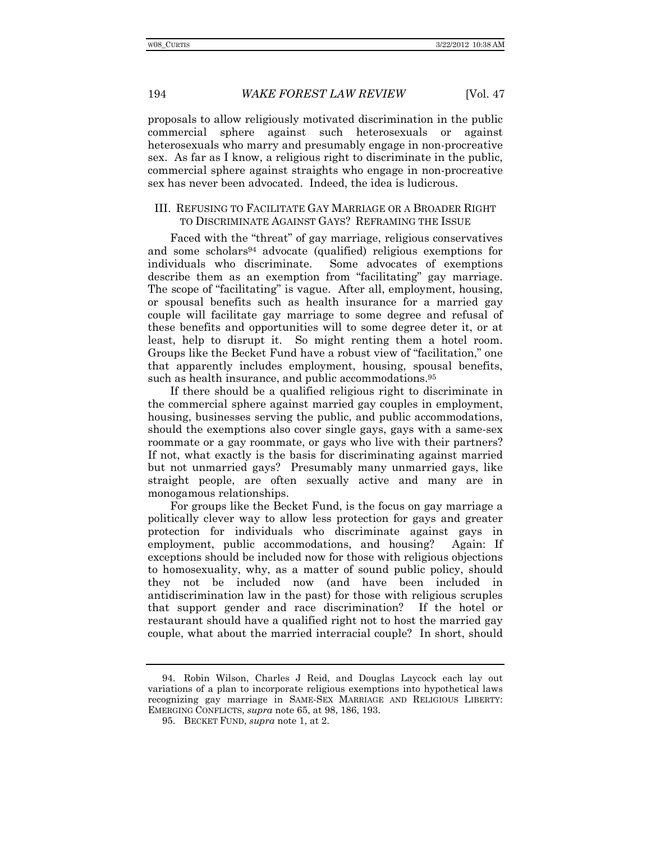proposals to allow religiously motivated discrimination in the public commercial sphere against such heterosexuals or against heterosexuals who marry and presumably engage in non-procreative sex. As far as I know, a religious right to discriminate in the public, commercial sphere against straights who engage in non-procreative sex has never been advocated. Indeed, the idea is ludicrous.

# III. REFUSING TO FACILITATE GAY MARRIAGE OR A BROADER RIGHT TO DISCRIMINATE AGAINST GAYS? REFRAMING THE ISSUE

Faced with the "threat" of gay marriage, religious conservatives and some scholars94 advocate (qualified) religious exemptions for individuals who discriminate. Some advocates of exemptions describe them as an exemption from "facilitating" gay marriage. The scope of "facilitating" is vague. After all, employment, housing, or spousal benefits such as health insurance for a married gay couple will facilitate gay marriage to some degree and refusal of these benefits and opportunities will to some degree deter it, or at least, help to disrupt it. So might renting them a hotel room. Groups like the Becket Fund have a robust view of "facilitation," one that apparently includes employment, housing, spousal benefits, such as health insurance, and public accommodations.<sup>95</sup>

If there should be a qualified religious right to discriminate in the commercial sphere against married gay couples in employment, housing, businesses serving the public, and public accommodations, should the exemptions also cover single gays, gays with a same-sex roommate or a gay roommate, or gays who live with their partners? If not, what exactly is the basis for discriminating against married but not unmarried gays? Presumably many unmarried gays, like straight people, are often sexually active and many are in monogamous relationships.

For groups like the Becket Fund, is the focus on gay marriage a politically clever way to allow less protection for gays and greater protection for individuals who discriminate against gays in employment, public accommodations, and housing? Again: If exceptions should be included now for those with religious objections to homosexuality, why, as a matter of sound public policy, should they not be included now (and have been included in antidiscrimination law in the past) for those with religious scruples that support gender and race discrimination? If the hotel or restaurant should have a qualified right not to host the married gay couple, what about the married interracial couple? In short, should

 <sup>94.</sup> Robin Wilson, Charles J Reid, and Douglas Laycock each lay out variations of a plan to incorporate religious exemptions into hypothetical laws recognizing gay marriage in SAME-SEX MARRIAGE AND RELIGIOUS LIBERTY: EMERGING CONFLICTS, *supra* note 65, at 98, 186, 193.

 <sup>95.</sup> BECKET FUND, *supra* note 1, at 2.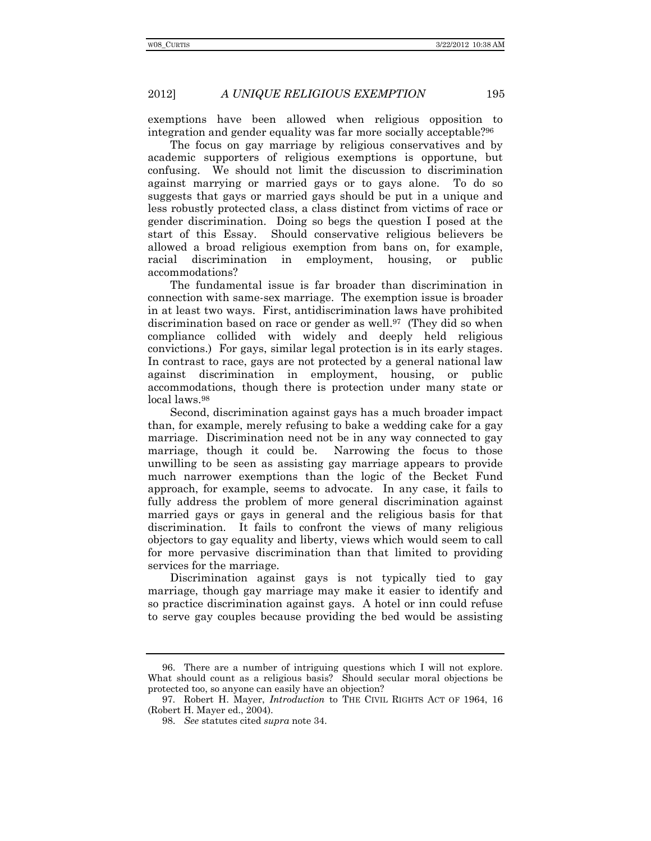exemptions have been allowed when religious opposition to integration and gender equality was far more socially acceptable?96

The focus on gay marriage by religious conservatives and by academic supporters of religious exemptions is opportune, but confusing. We should not limit the discussion to discrimination against marrying or married gays or to gays alone. To do so suggests that gays or married gays should be put in a unique and less robustly protected class, a class distinct from victims of race or gender discrimination. Doing so begs the question I posed at the start of this Essay. Should conservative religious believers be allowed a broad religious exemption from bans on, for example, racial discrimination in employment, housing, or public accommodations?

The fundamental issue is far broader than discrimination in connection with same-sex marriage. The exemption issue is broader in at least two ways. First, antidiscrimination laws have prohibited discrimination based on race or gender as well.97 (They did so when compliance collided with widely and deeply held religious convictions.) For gays, similar legal protection is in its early stages. In contrast to race, gays are not protected by a general national law against discrimination in employment, housing, or public accommodations, though there is protection under many state or local laws.98

Second, discrimination against gays has a much broader impact than, for example, merely refusing to bake a wedding cake for a gay marriage. Discrimination need not be in any way connected to gay marriage, though it could be. Narrowing the focus to those unwilling to be seen as assisting gay marriage appears to provide much narrower exemptions than the logic of the Becket Fund approach, for example, seems to advocate. In any case, it fails to fully address the problem of more general discrimination against married gays or gays in general and the religious basis for that discrimination. It fails to confront the views of many religious objectors to gay equality and liberty, views which would seem to call for more pervasive discrimination than that limited to providing services for the marriage.

Discrimination against gays is not typically tied to gay marriage, though gay marriage may make it easier to identify and so practice discrimination against gays. A hotel or inn could refuse to serve gay couples because providing the bed would be assisting

 <sup>96.</sup> There are a number of intriguing questions which I will not explore. What should count as a religious basis? Should secular moral objections be protected too, so anyone can easily have an objection?

 <sup>97.</sup> Robert H. Mayer, *Introduction* to THE CIVIL RIGHTS ACT OF 1964, 16 (Robert H. Mayer ed., 2004).

 <sup>98.</sup> *See* statutes cited *supra* note 34.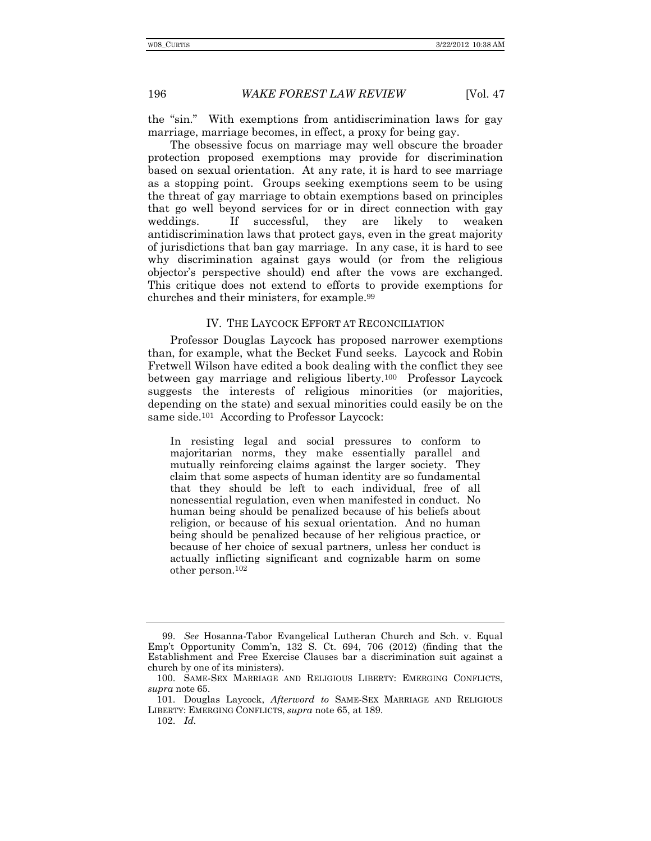the "sin." With exemptions from antidiscrimination laws for gay marriage, marriage becomes, in effect, a proxy for being gay.

The obsessive focus on marriage may well obscure the broader protection proposed exemptions may provide for discrimination based on sexual orientation. At any rate, it is hard to see marriage as a stopping point. Groups seeking exemptions seem to be using the threat of gay marriage to obtain exemptions based on principles that go well beyond services for or in direct connection with gay weddings. If successful, they are likely to weaken antidiscrimination laws that protect gays, even in the great majority of jurisdictions that ban gay marriage. In any case, it is hard to see why discrimination against gays would (or from the religious objector's perspective should) end after the vows are exchanged. This critique does not extend to efforts to provide exemptions for churches and their ministers, for example.99

#### IV. THE LAYCOCK EFFORT AT RECONCILIATION

Professor Douglas Laycock has proposed narrower exemptions than, for example, what the Becket Fund seeks. Laycock and Robin Fretwell Wilson have edited a book dealing with the conflict they see between gay marriage and religious liberty.100 Professor Laycock suggests the interests of religious minorities (or majorities, depending on the state) and sexual minorities could easily be on the same side.101 According to Professor Laycock:

In resisting legal and social pressures to conform to majoritarian norms, they make essentially parallel and mutually reinforcing claims against the larger society. They claim that some aspects of human identity are so fundamental that they should be left to each individual, free of all nonessential regulation, even when manifested in conduct. No human being should be penalized because of his beliefs about religion, or because of his sexual orientation. And no human being should be penalized because of her religious practice, or because of her choice of sexual partners, unless her conduct is actually inflicting significant and cognizable harm on some other person.102

 <sup>99.</sup> *See* Hosanna-Tabor Evangelical Lutheran Church and Sch. v. Equal Emp't Opportunity Comm'n, 132 S. Ct. 694, 706 (2012) (finding that the Establishment and Free Exercise Clauses bar a discrimination suit against a church by one of its ministers).

 <sup>100.</sup> SAME-SEX MARRIAGE AND RELIGIOUS LIBERTY: EMERGING CONFLICTS, *supra* note 65.

 <sup>101.</sup> Douglas Laycock, *Afterword to* SAME-SEX MARRIAGE AND RELIGIOUS LIBERTY: EMERGING CONFLICTS, *supra* note 65, at 189.

 <sup>102.</sup> *Id.*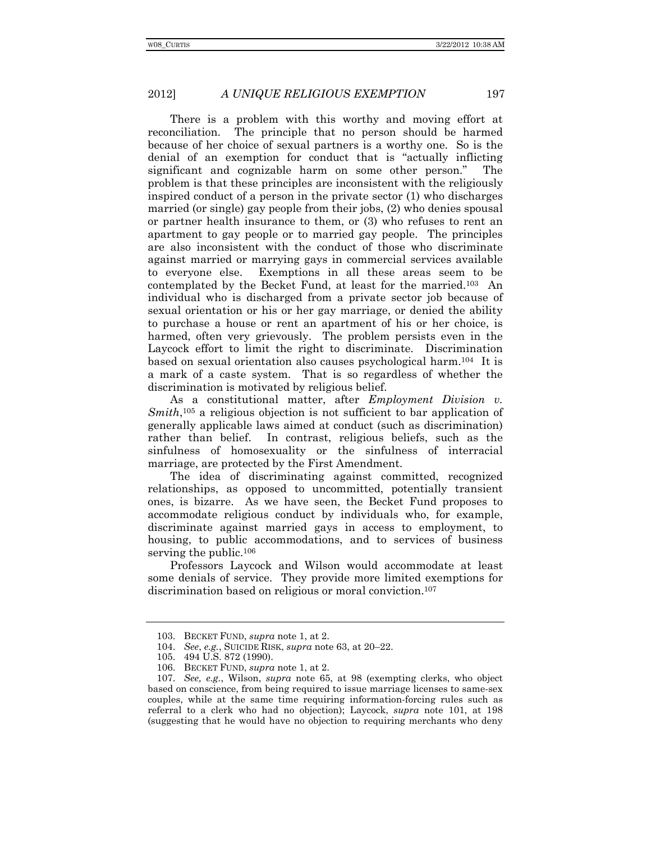There is a problem with this worthy and moving effort at reconciliation. The principle that no person should be harmed because of her choice of sexual partners is a worthy one. So is the denial of an exemption for conduct that is "actually inflicting significant and cognizable harm on some other person." problem is that these principles are inconsistent with the religiously inspired conduct of a person in the private sector (1) who discharges married (or single) gay people from their jobs, (2) who denies spousal or partner health insurance to them, or (3) who refuses to rent an apartment to gay people or to married gay people. The principles are also inconsistent with the conduct of those who discriminate against married or marrying gays in commercial services available to everyone else. Exemptions in all these areas seem to be contemplated by the Becket Fund, at least for the married.103 An individual who is discharged from a private sector job because of sexual orientation or his or her gay marriage, or denied the ability to purchase a house or rent an apartment of his or her choice, is harmed, often very grievously. The problem persists even in the Laycock effort to limit the right to discriminate. Discrimination based on sexual orientation also causes psychological harm.104 It is a mark of a caste system. That is so regardless of whether the discrimination is motivated by religious belief.

As a constitutional matter, after *Employment Division v. Smith*,105 a religious objection is not sufficient to bar application of generally applicable laws aimed at conduct (such as discrimination) rather than belief. In contrast, religious beliefs, such as the sinfulness of homosexuality or the sinfulness of interracial marriage, are protected by the First Amendment.

The idea of discriminating against committed, recognized relationships, as opposed to uncommitted, potentially transient ones, is bizarre. As we have seen, the Becket Fund proposes to accommodate religious conduct by individuals who, for example, discriminate against married gays in access to employment, to housing, to public accommodations, and to services of business serving the public.106

Professors Laycock and Wilson would accommodate at least some denials of service. They provide more limited exemptions for discrimination based on religious or moral conviction.107

 <sup>103.</sup> BECKET FUND, *supra* note 1, at 2.

 <sup>104.</sup> *See*, *e.g.*, SUICIDE RISK, *supra* note 63, at 20–22.

 <sup>105. 494</sup> U.S. 872 (1990).

 <sup>106.</sup> BECKET FUND, *supra* note 1, at 2.

 <sup>107.</sup> *See, e.g.*, Wilson, *supra* note 65, at 98 (exempting clerks, who object based on conscience, from being required to issue marriage licenses to same-sex couples, while at the same time requiring information-forcing rules such as referral to a clerk who had no objection); Laycock, *supra* note 101, at 198 (suggesting that he would have no objection to requiring merchants who deny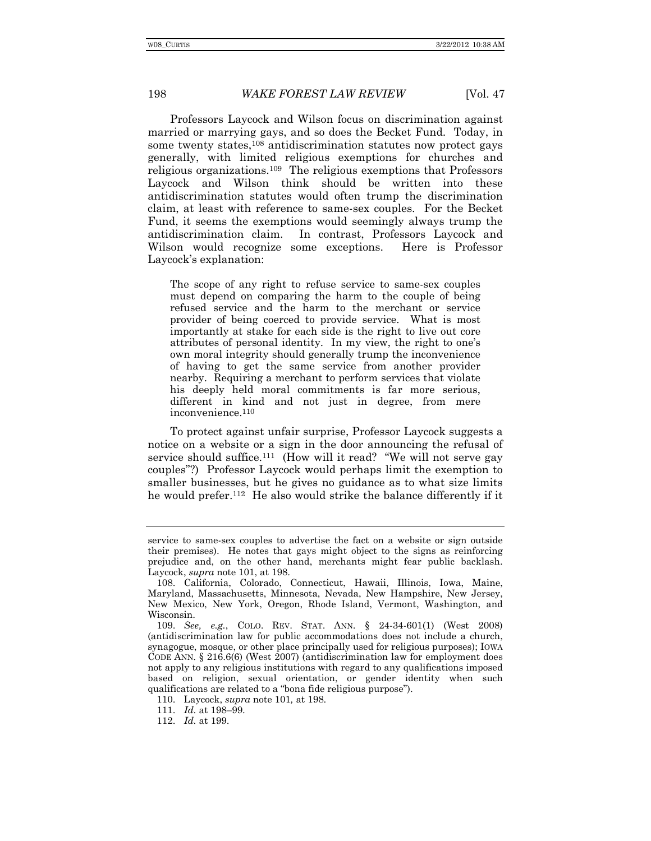Professors Laycock and Wilson focus on discrimination against married or marrying gays, and so does the Becket Fund. Today, in some twenty states,108 antidiscrimination statutes now protect gays generally, with limited religious exemptions for churches and religious organizations.109 The religious exemptions that Professors Laycock and Wilson think should be written into these antidiscrimination statutes would often trump the discrimination claim, at least with reference to same-sex couples. For the Becket Fund, it seems the exemptions would seemingly always trump the antidiscrimination claim. In contrast, Professors Laycock and Wilson would recognize some exceptions. Here is Professor Laycock's explanation:

The scope of any right to refuse service to same-sex couples must depend on comparing the harm to the couple of being refused service and the harm to the merchant or service provider of being coerced to provide service. What is most importantly at stake for each side is the right to live out core attributes of personal identity. In my view, the right to one's own moral integrity should generally trump the inconvenience of having to get the same service from another provider nearby. Requiring a merchant to perform services that violate his deeply held moral commitments is far more serious, different in kind and not just in degree, from mere inconvenience.110

To protect against unfair surprise, Professor Laycock suggests a notice on a website or a sign in the door announcing the refusal of service should suffice.111 (How will it read? "We will not serve gay couples"?) Professor Laycock would perhaps limit the exemption to smaller businesses, but he gives no guidance as to what size limits he would prefer.112 He also would strike the balance differently if it

service to same-sex couples to advertise the fact on a website or sign outside their premises). He notes that gays might object to the signs as reinforcing prejudice and, on the other hand, merchants might fear public backlash. Laycock, *supra* note 101, at 198.

 <sup>108.</sup> California, Colorado, Connecticut, Hawaii, Illinois, Iowa, Maine, Maryland, Massachusetts, Minnesota, Nevada, New Hampshire, New Jersey, New Mexico, New York, Oregon, Rhode Island, Vermont, Washington, and Wisconsin.

 <sup>109.</sup> *See, e.g.*, COLO. REV. STAT. ANN. § 24-34-601(1) (West 2008) (antidiscrimination law for public accommodations does not include a church, synagogue, mosque, or other place principally used for religious purposes); IOWA CODE ANN. § 216.6(6) (West 2007) (antidiscrimination law for employment does not apply to any religious institutions with regard to any qualifications imposed based on religion, sexual orientation, or gender identity when such qualifications are related to a "bona fide religious purpose").

 <sup>110.</sup> Laycock, *supra* note 101*,* at 198.

 <sup>111.</sup> *Id.* at 198–99.

 <sup>112.</sup> *Id.* at 199.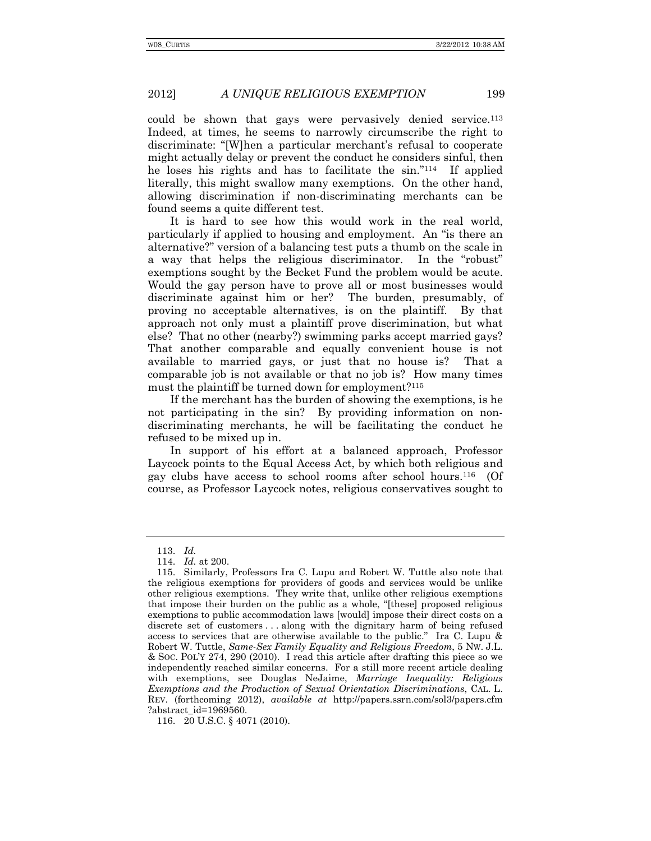could be shown that gays were pervasively denied service.113 Indeed, at times, he seems to narrowly circumscribe the right to discriminate: "[W]hen a particular merchant's refusal to cooperate might actually delay or prevent the conduct he considers sinful, then he loses his rights and has to facilitate the sin."114 If applied literally, this might swallow many exemptions. On the other hand, allowing discrimination if non-discriminating merchants can be found seems a quite different test.

It is hard to see how this would work in the real world, particularly if applied to housing and employment. An "is there an alternative?" version of a balancing test puts a thumb on the scale in a way that helps the religious discriminator. In the "robust" exemptions sought by the Becket Fund the problem would be acute. Would the gay person have to prove all or most businesses would discriminate against him or her? The burden, presumably, of proving no acceptable alternatives, is on the plaintiff. By that approach not only must a plaintiff prove discrimination, but what else? That no other (nearby?) swimming parks accept married gays? That another comparable and equally convenient house is not available to married gays, or just that no house is? That a comparable job is not available or that no job is? How many times must the plaintiff be turned down for employment?115

If the merchant has the burden of showing the exemptions, is he not participating in the sin? By providing information on nondiscriminating merchants, he will be facilitating the conduct he refused to be mixed up in.

In support of his effort at a balanced approach, Professor Laycock points to the Equal Access Act, by which both religious and gay clubs have access to school rooms after school hours.116 (Of course, as Professor Laycock notes, religious conservatives sought to

 <sup>113.</sup> *Id.*

 <sup>114.</sup> *Id.* at 200.

 <sup>115.</sup> Similarly, Professors Ira C. Lupu and Robert W. Tuttle also note that the religious exemptions for providers of goods and services would be unlike other religious exemptions. They write that, unlike other religious exemptions that impose their burden on the public as a whole, "[these] proposed religious exemptions to public accommodation laws [would] impose their direct costs on a discrete set of customers . . . along with the dignitary harm of being refused access to services that are otherwise available to the public." Ira C. Lupu & Robert W. Tuttle, *Same-Sex Family Equality and Religious Freedom*, 5 NW. J.L. & SOC. POL'Y 274, 290 (2010). I read this article after drafting this piece so we independently reached similar concerns. For a still more recent article dealing with exemptions, see Douglas NeJaime, *Marriage Inequality: Religious Exemptions and the Production of Sexual Orientation Discriminations*, CAL. L. REV. (forthcoming 2012), *available at* http://papers.ssrn.com/sol3/papers.cfm ?abstract\_id=1969560.

 <sup>116. 20</sup> U.S.C. § 4071 (2010).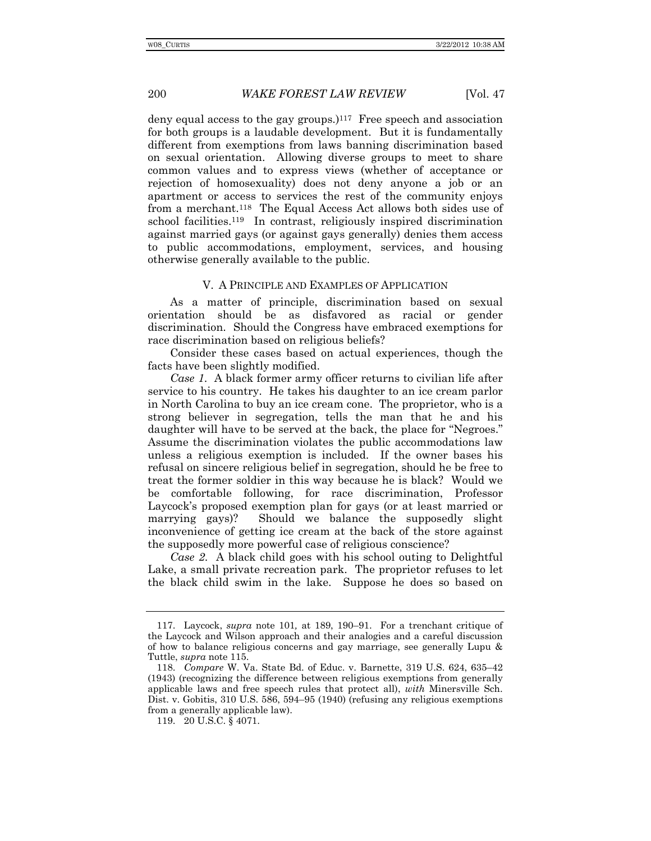deny equal access to the gay groups.) $117$  Free speech and association for both groups is a laudable development. But it is fundamentally different from exemptions from laws banning discrimination based on sexual orientation. Allowing diverse groups to meet to share common values and to express views (whether of acceptance or rejection of homosexuality) does not deny anyone a job or an apartment or access to services the rest of the community enjoys from a merchant.118 The Equal Access Act allows both sides use of school facilities.119 In contrast, religiously inspired discrimination against married gays (or against gays generally) denies them access to public accommodations, employment, services, and housing otherwise generally available to the public.

#### V. A PRINCIPLE AND EXAMPLES OF APPLICATION

As a matter of principle, discrimination based on sexual orientation should be as disfavored as racial or gender discrimination. Should the Congress have embraced exemptions for race discrimination based on religious beliefs?

Consider these cases based on actual experiences, though the facts have been slightly modified.

*Case 1*. A black former army officer returns to civilian life after service to his country. He takes his daughter to an ice cream parlor in North Carolina to buy an ice cream cone. The proprietor, who is a strong believer in segregation, tells the man that he and his daughter will have to be served at the back, the place for "Negroes." Assume the discrimination violates the public accommodations law unless a religious exemption is included. If the owner bases his refusal on sincere religious belief in segregation, should he be free to treat the former soldier in this way because he is black? Would we be comfortable following, for race discrimination, Professor Laycock's proposed exemption plan for gays (or at least married or marrying gays)? Should we balance the supposedly slight inconvenience of getting ice cream at the back of the store against the supposedly more powerful case of religious conscience?

*Case 2*. A black child goes with his school outing to Delightful Lake, a small private recreation park. The proprietor refuses to let the black child swim in the lake. Suppose he does so based on

 <sup>117.</sup> Laycock, *supra* note 101*,* at 189, 190–91. For a trenchant critique of the Laycock and Wilson approach and their analogies and a careful discussion of how to balance religious concerns and gay marriage, see generally Lupu & Tuttle, *supra* note 115.

 <sup>118.</sup> *Compare* W. Va. State Bd. of Educ. v. Barnette, 319 U.S. 624, 635–42 (1943) (recognizing the difference between religious exemptions from generally applicable laws and free speech rules that protect all), *with* Minersville Sch. Dist. v. Gobitis, 310 U.S. 586, 594–95 (1940) (refusing any religious exemptions from a generally applicable law).

 <sup>119. 20</sup> U.S.C. § 4071.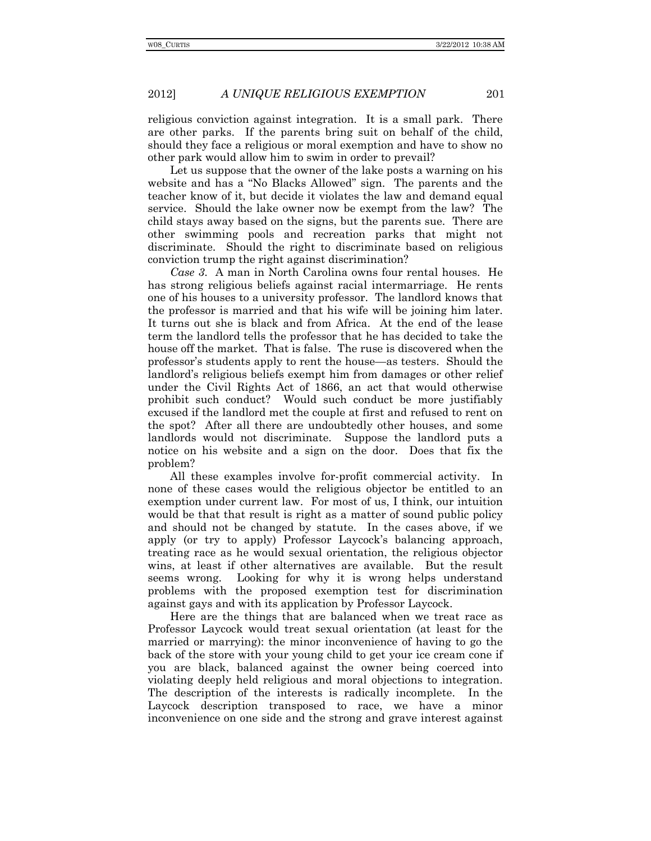religious conviction against integration. It is a small park. There are other parks. If the parents bring suit on behalf of the child, should they face a religious or moral exemption and have to show no other park would allow him to swim in order to prevail?

Let us suppose that the owner of the lake posts a warning on his website and has a "No Blacks Allowed" sign. The parents and the teacher know of it, but decide it violates the law and demand equal service. Should the lake owner now be exempt from the law? The child stays away based on the signs, but the parents sue. There are other swimming pools and recreation parks that might not discriminate. Should the right to discriminate based on religious conviction trump the right against discrimination?

*Case 3*. A man in North Carolina owns four rental houses. He has strong religious beliefs against racial intermarriage. He rents one of his houses to a university professor. The landlord knows that the professor is married and that his wife will be joining him later. It turns out she is black and from Africa. At the end of the lease term the landlord tells the professor that he has decided to take the house off the market. That is false. The ruse is discovered when the professor's students apply to rent the house—as testers. Should the landlord's religious beliefs exempt him from damages or other relief under the Civil Rights Act of 1866, an act that would otherwise prohibit such conduct? Would such conduct be more justifiably excused if the landlord met the couple at first and refused to rent on the spot? After all there are undoubtedly other houses, and some landlords would not discriminate. Suppose the landlord puts a notice on his website and a sign on the door. Does that fix the problem?

All these examples involve for-profit commercial activity. In none of these cases would the religious objector be entitled to an exemption under current law. For most of us, I think, our intuition would be that that result is right as a matter of sound public policy and should not be changed by statute. In the cases above, if we apply (or try to apply) Professor Laycock's balancing approach, treating race as he would sexual orientation, the religious objector wins, at least if other alternatives are available. But the result seems wrong. Looking for why it is wrong helps understand problems with the proposed exemption test for discrimination against gays and with its application by Professor Laycock.

Here are the things that are balanced when we treat race as Professor Laycock would treat sexual orientation (at least for the married or marrying): the minor inconvenience of having to go the back of the store with your young child to get your ice cream cone if you are black, balanced against the owner being coerced into violating deeply held religious and moral objections to integration. The description of the interests is radically incomplete. In the Laycock description transposed to race, we have a minor inconvenience on one side and the strong and grave interest against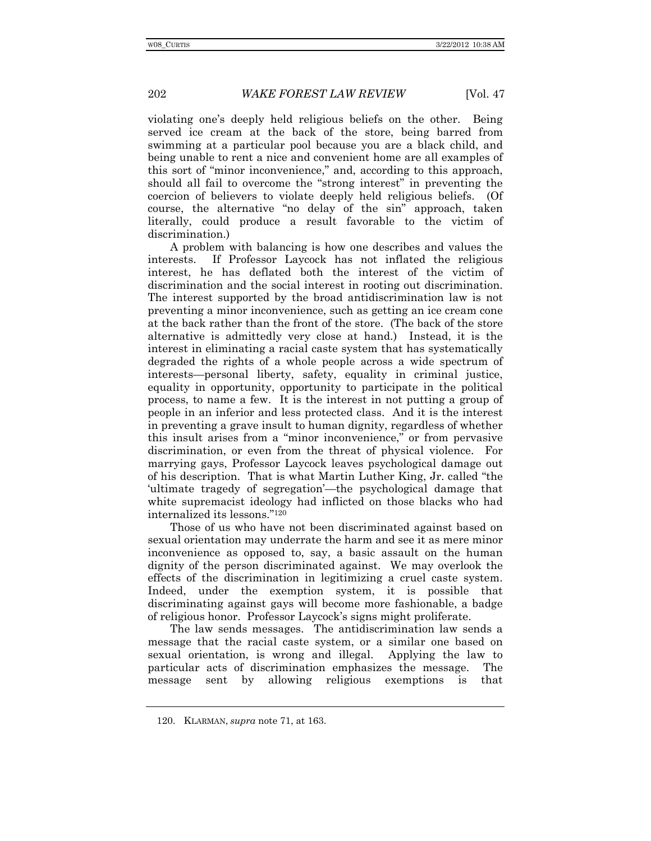violating one's deeply held religious beliefs on the other. Being served ice cream at the back of the store, being barred from swimming at a particular pool because you are a black child, and being unable to rent a nice and convenient home are all examples of this sort of "minor inconvenience," and, according to this approach, should all fail to overcome the "strong interest" in preventing the coercion of believers to violate deeply held religious beliefs. (Of course, the alternative "no delay of the sin" approach, taken literally, could produce a result favorable to the victim of discrimination.)

A problem with balancing is how one describes and values the interests. If Professor Laycock has not inflated the religious interest, he has deflated both the interest of the victim of discrimination and the social interest in rooting out discrimination. The interest supported by the broad antidiscrimination law is not preventing a minor inconvenience, such as getting an ice cream cone at the back rather than the front of the store. (The back of the store alternative is admittedly very close at hand.) Instead, it is the interest in eliminating a racial caste system that has systematically degraded the rights of a whole people across a wide spectrum of interests—personal liberty, safety, equality in criminal justice, equality in opportunity, opportunity to participate in the political process, to name a few. It is the interest in not putting a group of people in an inferior and less protected class. And it is the interest in preventing a grave insult to human dignity, regardless of whether this insult arises from a "minor inconvenience," or from pervasive discrimination, or even from the threat of physical violence. For marrying gays, Professor Laycock leaves psychological damage out of his description. That is what Martin Luther King, Jr. called "the 'ultimate tragedy of segregation'—the psychological damage that white supremacist ideology had inflicted on those blacks who had internalized its lessons."120

Those of us who have not been discriminated against based on sexual orientation may underrate the harm and see it as mere minor inconvenience as opposed to, say, a basic assault on the human dignity of the person discriminated against. We may overlook the effects of the discrimination in legitimizing a cruel caste system. Indeed, under the exemption system, it is possible that discriminating against gays will become more fashionable, a badge of religious honor. Professor Laycock's signs might proliferate.

The law sends messages. The antidiscrimination law sends a message that the racial caste system, or a similar one based on sexual orientation, is wrong and illegal. Applying the law to particular acts of discrimination emphasizes the message. The message sent by allowing religious exemptions is that

 <sup>120.</sup> KLARMAN, *supra* note 71, at 163.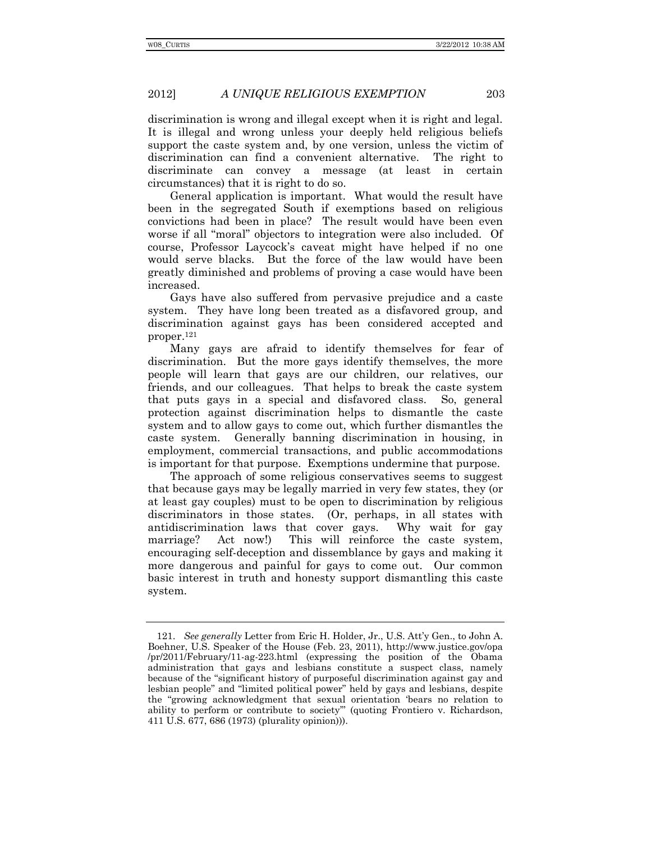discrimination is wrong and illegal except when it is right and legal. It is illegal and wrong unless your deeply held religious beliefs support the caste system and, by one version, unless the victim of discrimination can find a convenient alternative. The right to discriminate can convey a message (at least in certain circumstances) that it is right to do so.

General application is important. What would the result have been in the segregated South if exemptions based on religious convictions had been in place? The result would have been even worse if all "moral" objectors to integration were also included. Of course, Professor Laycock's caveat might have helped if no one would serve blacks. But the force of the law would have been greatly diminished and problems of proving a case would have been increased.

Gays have also suffered from pervasive prejudice and a caste system. They have long been treated as a disfavored group, and discrimination against gays has been considered accepted and proper.121

Many gays are afraid to identify themselves for fear of discrimination. But the more gays identify themselves, the more people will learn that gays are our children, our relatives, our friends, and our colleagues. That helps to break the caste system that puts gays in a special and disfavored class. So, general protection against discrimination helps to dismantle the caste system and to allow gays to come out, which further dismantles the caste system. Generally banning discrimination in housing, in employment, commercial transactions, and public accommodations is important for that purpose. Exemptions undermine that purpose.

The approach of some religious conservatives seems to suggest that because gays may be legally married in very few states, they (or at least gay couples) must to be open to discrimination by religious discriminators in those states. (Or, perhaps, in all states with antidiscrimination laws that cover gays. Why wait for gay marriage? Act now!) This will reinforce the caste system, encouraging self-deception and dissemblance by gays and making it more dangerous and painful for gays to come out. Our common basic interest in truth and honesty support dismantling this caste system.

 <sup>121.</sup> *See generally* Letter from Eric H. Holder, Jr., U.S. Att'y Gen., to John A. Boehner, U.S. Speaker of the House (Feb. 23, 2011), http://www.justice.gov/opa /pr/2011/February/11-ag-223.html (expressing the position of the Obama administration that gays and lesbians constitute a suspect class, namely because of the "significant history of purposeful discrimination against gay and lesbian people" and "limited political power" held by gays and lesbians, despite the "growing acknowledgment that sexual orientation 'bears no relation to ability to perform or contribute to society'" (quoting Frontiero v. Richardson, 411 U.S. 677, 686 (1973) (plurality opinion))).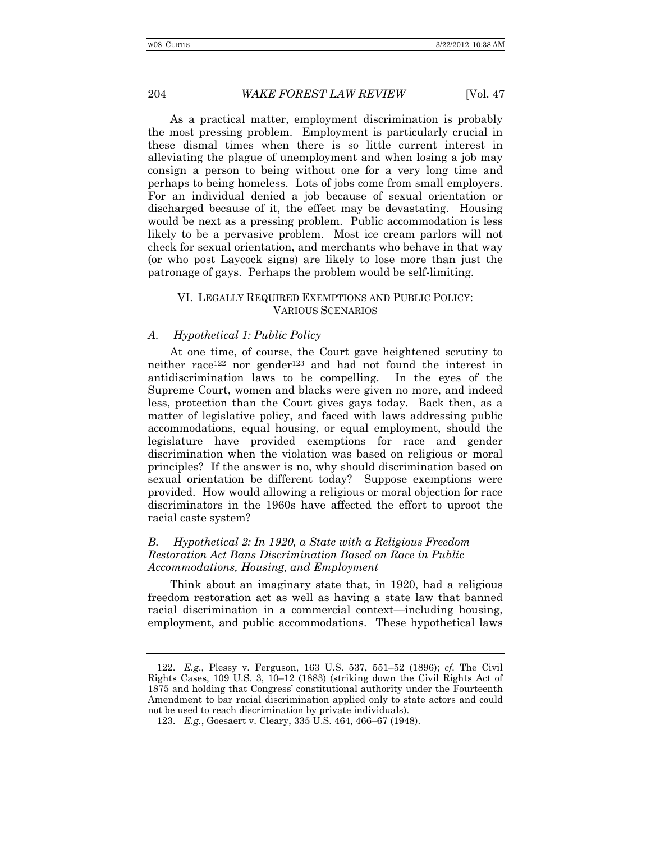As a practical matter, employment discrimination is probably the most pressing problem. Employment is particularly crucial in these dismal times when there is so little current interest in alleviating the plague of unemployment and when losing a job may consign a person to being without one for a very long time and perhaps to being homeless. Lots of jobs come from small employers. For an individual denied a job because of sexual orientation or discharged because of it, the effect may be devastating. Housing would be next as a pressing problem. Public accommodation is less likely to be a pervasive problem. Most ice cream parlors will not check for sexual orientation, and merchants who behave in that way (or who post Laycock signs) are likely to lose more than just the patronage of gays. Perhaps the problem would be self-limiting.

## VI. LEGALLY REQUIRED EXEMPTIONS AND PUBLIC POLICY: VARIOUS SCENARIOS

## *A. Hypothetical 1: Public Policy*

At one time, of course, the Court gave heightened scrutiny to neither race122 nor gender123 and had not found the interest in antidiscrimination laws to be compelling. In the eyes of the Supreme Court, women and blacks were given no more, and indeed less, protection than the Court gives gays today. Back then, as a matter of legislative policy, and faced with laws addressing public accommodations, equal housing, or equal employment, should the legislature have provided exemptions for race and gender discrimination when the violation was based on religious or moral principles? If the answer is no, why should discrimination based on sexual orientation be different today? Suppose exemptions were provided. How would allowing a religious or moral objection for race discriminators in the 1960s have affected the effort to uproot the racial caste system?

# *B. Hypothetical 2: In 1920, a State with a Religious Freedom Restoration Act Bans Discrimination Based on Race in Public Accommodations, Housing, and Employment*

Think about an imaginary state that, in 1920, had a religious freedom restoration act as well as having a state law that banned racial discrimination in a commercial context—including housing, employment, and public accommodations. These hypothetical laws

 <sup>122.</sup> *E.g*., Plessy v. Ferguson, 163 U.S. 537, 551–52 (1896); *cf.* The Civil Rights Cases, 109 U.S. 3, 10–12 (1883) (striking down the Civil Rights Act of 1875 and holding that Congress' constitutional authority under the Fourteenth Amendment to bar racial discrimination applied only to state actors and could not be used to reach discrimination by private individuals).

 <sup>123.</sup> *E.g.*, Goesaert v. Cleary, 335 U.S. 464, 466–67 (1948).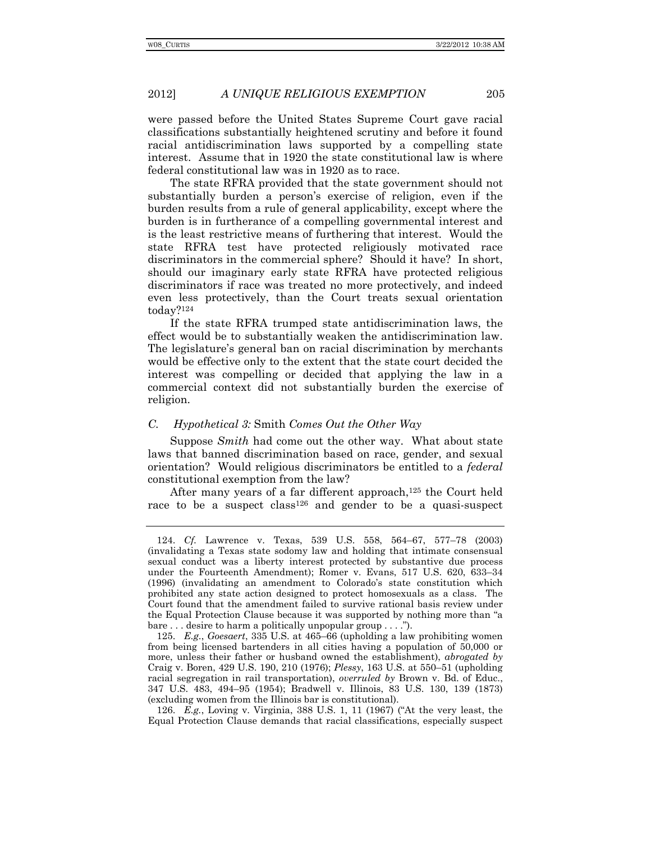were passed before the United States Supreme Court gave racial classifications substantially heightened scrutiny and before it found racial antidiscrimination laws supported by a compelling state interest. Assume that in 1920 the state constitutional law is where federal constitutional law was in 1920 as to race.

The state RFRA provided that the state government should not substantially burden a person's exercise of religion, even if the burden results from a rule of general applicability, except where the burden is in furtherance of a compelling governmental interest and is the least restrictive means of furthering that interest. Would the state RFRA test have protected religiously motivated race discriminators in the commercial sphere? Should it have? In short, should our imaginary early state RFRA have protected religious discriminators if race was treated no more protectively, and indeed even less protectively, than the Court treats sexual orientation today?124

If the state RFRA trumped state antidiscrimination laws, the effect would be to substantially weaken the antidiscrimination law. The legislature's general ban on racial discrimination by merchants would be effective only to the extent that the state court decided the interest was compelling or decided that applying the law in a commercial context did not substantially burden the exercise of religion.

#### *C. Hypothetical 3:* Smith *Comes Out the Other Way*

Suppose *Smith* had come out the other way. What about state laws that banned discrimination based on race, gender, and sexual orientation? Would religious discriminators be entitled to a *federal* constitutional exemption from the law?

After many years of a far different approach,<sup>125</sup> the Court held race to be a suspect class<sup>126</sup> and gender to be a quasi-suspect

 <sup>124.</sup> *Cf.* Lawrence v. Texas, 539 U.S. 558, 564–67, 577–78 (2003) (invalidating a Texas state sodomy law and holding that intimate consensual sexual conduct was a liberty interest protected by substantive due process under the Fourteenth Amendment); Romer v. Evans, 517 U.S. 620, 633–34 (1996) (invalidating an amendment to Colorado's state constitution which prohibited any state action designed to protect homosexuals as a class. The Court found that the amendment failed to survive rational basis review under the Equal Protection Clause because it was supported by nothing more than "a  $bare...$  desire to harm a politically unpopular group  $\dots$ .

 <sup>125.</sup> *E.g*., *Goesaert*, 335 U.S. at 465–66 (upholding a law prohibiting women from being licensed bartenders in all cities having a population of 50,000 or more, unless their father or husband owned the establishment), *abrogated by*  Craig v. Boren, 429 U.S. 190, 210 (1976); *Plessy*, 163 U.S. at 550–51 (upholding racial segregation in rail transportation), *overruled by* Brown v. Bd. of Educ., 347 U.S. 483, 494–95 (1954); Bradwell v. Illinois, 83 U.S. 130, 139 (1873) (excluding women from the Illinois bar is constitutional).

 <sup>126.</sup> *E.g.*, Loving v. Virginia, 388 U.S. 1, 11 (1967) ("At the very least, the Equal Protection Clause demands that racial classifications, especially suspect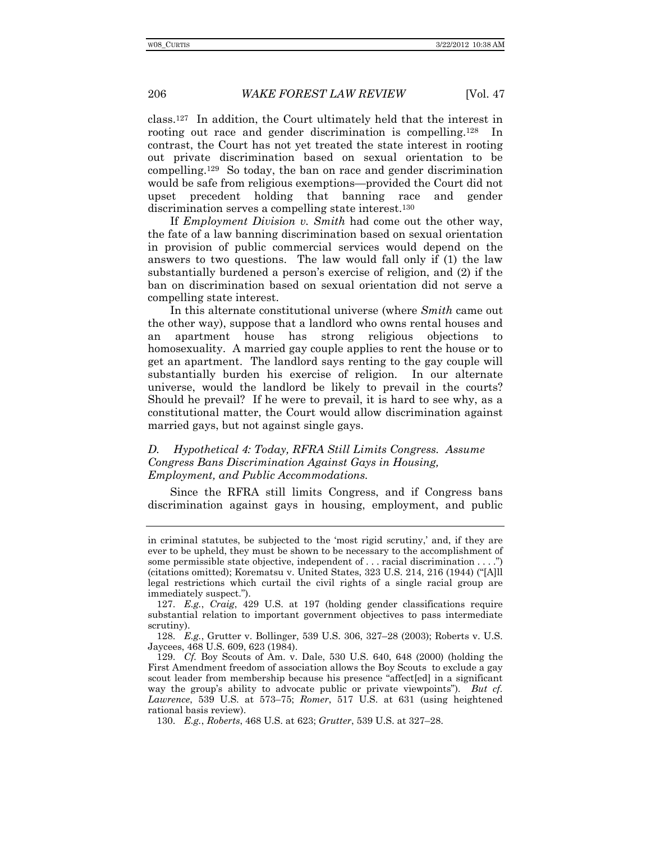class.127 In addition, the Court ultimately held that the interest in rooting out race and gender discrimination is compelling.<sup>128</sup> In contrast, the Court has not yet treated the state interest in rooting out private discrimination based on sexual orientation to be compelling.129 So today, the ban on race and gender discrimination would be safe from religious exemptions—provided the Court did not upset precedent holding that banning race and gender discrimination serves a compelling state interest.130

If *Employment Division v. Smith* had come out the other way, the fate of a law banning discrimination based on sexual orientation in provision of public commercial services would depend on the answers to two questions. The law would fall only if (1) the law substantially burdened a person's exercise of religion, and (2) if the ban on discrimination based on sexual orientation did not serve a compelling state interest.

In this alternate constitutional universe (where *Smith* came out the other way), suppose that a landlord who owns rental houses and an apartment house has strong religious objections to homosexuality. A married gay couple applies to rent the house or to get an apartment. The landlord says renting to the gay couple will substantially burden his exercise of religion. In our alternate universe, would the landlord be likely to prevail in the courts? Should he prevail? If he were to prevail, it is hard to see why, as a constitutional matter, the Court would allow discrimination against married gays, but not against single gays.

# *D. Hypothetical 4: Today, RFRA Still Limits Congress. Assume Congress Bans Discrimination Against Gays in Housing, Employment, and Public Accommodations.*

Since the RFRA still limits Congress, and if Congress bans discrimination against gays in housing, employment, and public

in criminal statutes, be subjected to the 'most rigid scrutiny,' and, if they are ever to be upheld, they must be shown to be necessary to the accomplishment of some permissible state objective, independent of . . . racial discrimination . . . .") (citations omitted); Korematsu v. United States, 323 U.S. 214, 216 (1944) ("[A]ll legal restrictions which curtail the civil rights of a single racial group are immediately suspect.").

 <sup>127.</sup> *E.g.*, *Craig*, 429 U.S. at 197 (holding gender classifications require substantial relation to important government objectives to pass intermediate scrutiny).

 <sup>128.</sup> *E.g.*, Grutter v. Bollinger, 539 U.S. 306, 327–28 (2003); Roberts v. U.S. Jaycees, 468 U.S. 609, 623 (1984).

 <sup>129.</sup> *Cf.* Boy Scouts of Am. v. Dale, 530 U.S. 640, 648 (2000) (holding the First Amendment freedom of association allows the Boy Scouts to exclude a gay scout leader from membership because his presence "affect[ed] in a significant way the group's ability to advocate public or private viewpoints"). *But cf. Lawrence*, 539 U.S. at 573–75; *Romer*, 517 U.S. at 631 (using heightened rational basis review).

 <sup>130.</sup> *E.g.*, *Roberts*, 468 U.S. at 623; *Grutter*, 539 U.S. at 327–28.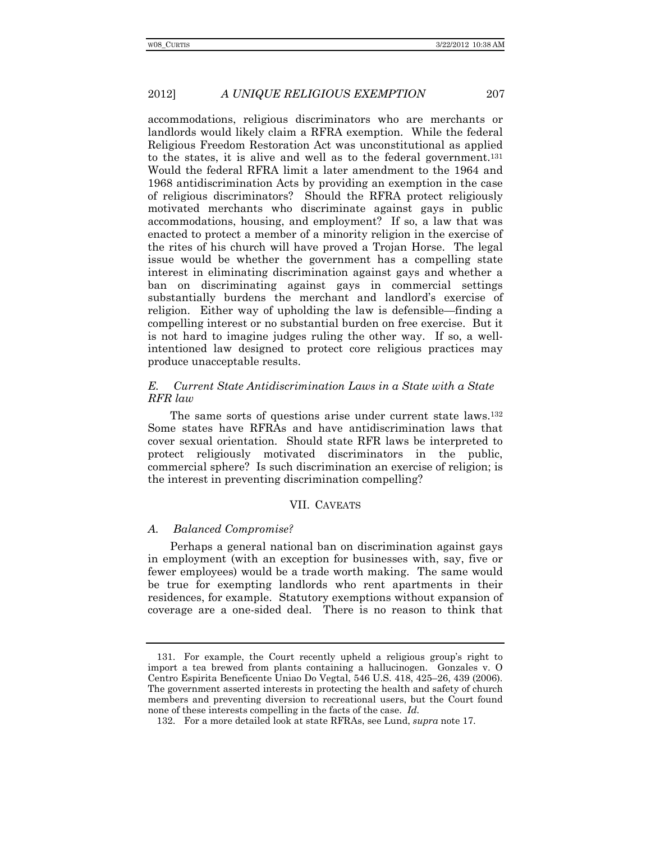accommodations, religious discriminators who are merchants or landlords would likely claim a RFRA exemption. While the federal Religious Freedom Restoration Act was unconstitutional as applied to the states, it is alive and well as to the federal government.131 Would the federal RFRA limit a later amendment to the 1964 and 1968 antidiscrimination Acts by providing an exemption in the case of religious discriminators? Should the RFRA protect religiously motivated merchants who discriminate against gays in public accommodations, housing, and employment? If so, a law that was enacted to protect a member of a minority religion in the exercise of the rites of his church will have proved a Trojan Horse. The legal issue would be whether the government has a compelling state interest in eliminating discrimination against gays and whether a ban on discriminating against gays in commercial settings substantially burdens the merchant and landlord's exercise of religion. Either way of upholding the law is defensible—finding a compelling interest or no substantial burden on free exercise. But it is not hard to imagine judges ruling the other way. If so, a wellintentioned law designed to protect core religious practices may produce unacceptable results.

# *E. Current State Antidiscrimination Laws in a State with a State RFR law*

The same sorts of questions arise under current state laws.132 Some states have RFRAs and have antidiscrimination laws that cover sexual orientation. Should state RFR laws be interpreted to protect religiously motivated discriminators in the public, commercial sphere? Is such discrimination an exercise of religion; is the interest in preventing discrimination compelling?

# VII. CAVEATS

#### *A. Balanced Compromise?*

Perhaps a general national ban on discrimination against gays in employment (with an exception for businesses with, say, five or fewer employees) would be a trade worth making. The same would be true for exempting landlords who rent apartments in their residences, for example. Statutory exemptions without expansion of coverage are a one-sided deal. There is no reason to think that

 <sup>131.</sup> For example, the Court recently upheld a religious group's right to import a tea brewed from plants containing a hallucinogen. Gonzales v. O Centro Espirita Beneficente Uniao Do Vegtal, 546 U.S. 418, 425–26, 439 (2006). The government asserted interests in protecting the health and safety of church members and preventing diversion to recreational users, but the Court found none of these interests compelling in the facts of the case. *Id.*

 <sup>132.</sup> For a more detailed look at state RFRAs, see Lund, *supra* note 17.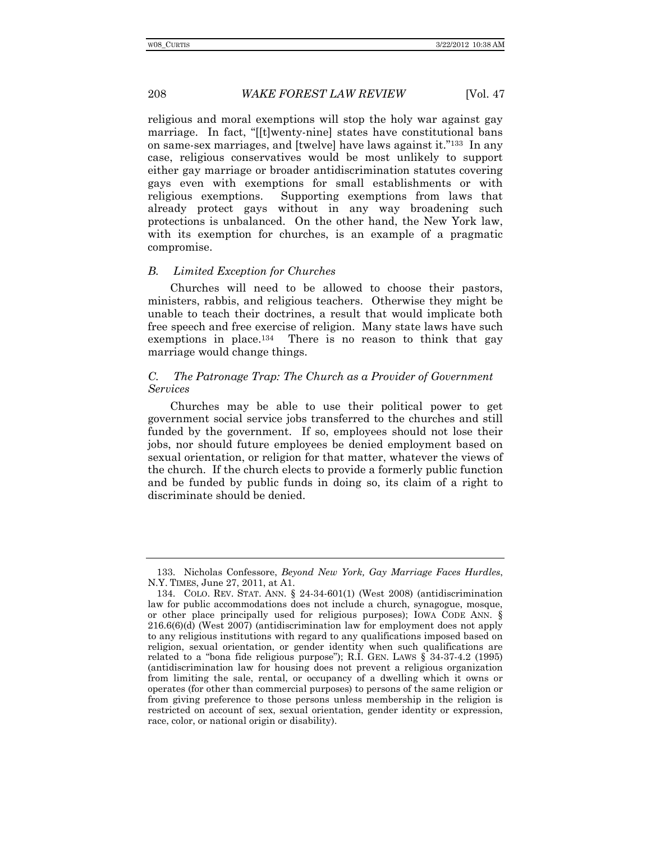religious and moral exemptions will stop the holy war against gay marriage. In fact, "[[t]wenty-nine] states have constitutional bans on same-sex marriages, and [twelve] have laws against it."133 In any case, religious conservatives would be most unlikely to support either gay marriage or broader antidiscrimination statutes covering gays even with exemptions for small establishments or with religious exemptions. Supporting exemptions from laws that already protect gays without in any way broadening such protections is unbalanced. On the other hand, the New York law, with its exemption for churches, is an example of a pragmatic compromise.

#### *B. Limited Exception for Churches*

Churches will need to be allowed to choose their pastors, ministers, rabbis, and religious teachers. Otherwise they might be unable to teach their doctrines, a result that would implicate both free speech and free exercise of religion. Many state laws have such exemptions in place.<sup>134</sup> There is no reason to think that gay marriage would change things.

# *C. The Patronage Trap: The Church as a Provider of Government Services*

Churches may be able to use their political power to get government social service jobs transferred to the churches and still funded by the government. If so, employees should not lose their jobs, nor should future employees be denied employment based on sexual orientation, or religion for that matter, whatever the views of the church. If the church elects to provide a formerly public function and be funded by public funds in doing so, its claim of a right to discriminate should be denied.

 <sup>133.</sup> Nicholas Confessore, *Beyond New York, Gay Marriage Faces Hurdles*, N.Y. TIMES, June 27, 2011, at A1.

 <sup>134.</sup> COLO. REV. STAT. ANN. § 24-34-601(1) (West 2008) (antidiscrimination law for public accommodations does not include a church, synagogue, mosque, or other place principally used for religious purposes); IOWA CODE ANN. § 216.6(6)(d) (West 2007) (antidiscrimination law for employment does not apply to any religious institutions with regard to any qualifications imposed based on religion, sexual orientation, or gender identity when such qualifications are related to a "bona fide religious purpose"); R.I. GEN. LAWS § 34-37-4.2 (1995) (antidiscrimination law for housing does not prevent a religious organization from limiting the sale, rental, or occupancy of a dwelling which it owns or operates (for other than commercial purposes) to persons of the same religion or from giving preference to those persons unless membership in the religion is restricted on account of sex, sexual orientation, gender identity or expression, race, color, or national origin or disability).